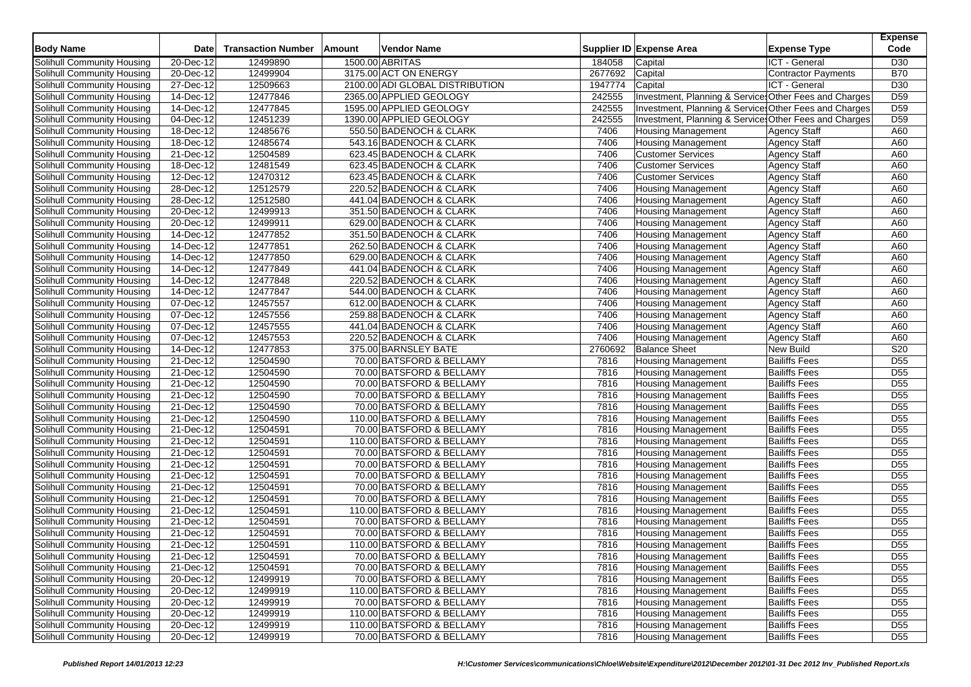| <b>Body Name</b>                  | Date                       | <b>Transaction Number</b> | Amount | Vendor Name                     |         | Supplier ID Expense Area                              | <b>Expense Type</b>  | <b>Expense</b><br>Code |
|-----------------------------------|----------------------------|---------------------------|--------|---------------------------------|---------|-------------------------------------------------------|----------------------|------------------------|
| Solihull Community Housing        | 20-Dec-12                  | 12499890                  |        | 1500.00 ABRITAS                 | 184058  | Capital                                               | <b>ICT</b> - General | D <sub>30</sub>        |
| Solihull Community Housing        | 20-Dec-12                  | 12499904                  |        | 3175.00 ACT ON ENERGY           | 2677692 | Capital                                               | Contractor Payments  | <b>B70</b>             |
| Solihull Community Housing        | 27-Dec-12                  | 12509663                  |        | 2100.00 ADI GLOBAL DISTRIBUTION | 1947774 | Capital                                               | ICT - General        | D30                    |
| Solihull Community Housing        | 14-Dec-12                  | 12477846                  |        | 2365.00 APPLIED GEOLOGY         | 242555  | Investment, Planning & Service Other Fees and Charges |                      | D <sub>59</sub>        |
| Solihull Community Housing        | 14-Dec-12                  | 12477845                  |        | 1595.00 APPLIED GEOLOGY         | 242555  | Investment, Planning & Service Other Fees and Charges |                      | D <sub>59</sub>        |
| Solihull Community Housing        | 04-Dec-12                  | 12451239                  |        | 1390.00 APPLIED GEOLOGY         | 242555  | Investment, Planning & Service Other Fees and Charges |                      | D <sub>59</sub>        |
| Solihull Community Housing        | 18-Dec-12                  | 12485676                  |        | 550.50 BADENOCH & CLARK         | 7406    | <b>Housing Management</b>                             | <b>Agency Staff</b>  | A60                    |
| Solihull Community Housing        | 18-Dec-12                  | 12485674                  |        | 543.16 BADENOCH & CLARK         | 7406    | <b>Housing Management</b>                             | <b>Agency Staff</b>  | A60                    |
| Solihull Community Housing        | $21-Dec-12$                | 12504589                  |        | 623.45 BADENOCH & CLARK         | 7406    | <b>Customer Services</b>                              | <b>Agency Staff</b>  | A60                    |
| Solihull Community Housing        | 18-Dec-12                  | 12481549                  |        | 623.45 BADENOCH & CLARK         | 7406    | <b>Customer Services</b>                              | Agency Staff         | A60                    |
| Solihull Community Housing        | 12-Dec-12                  | 12470312                  |        | 623.45 BADENOCH & CLARK         | 7406    | <b>Customer Services</b>                              | <b>Agency Staff</b>  | A60                    |
| Solihull Community Housing        | 28-Dec-12                  | 12512579                  |        | 220.52 BADENOCH & CLARK         | 7406    | <b>Housing Management</b>                             | Agency Staff         | A60                    |
| Solihull Community Housing        | 28-Dec-12                  | 12512580                  |        | 441.04 BADENOCH & CLARK         | 7406    | Housing Management                                    | <b>Agency Staff</b>  | A60                    |
| Solihull Community Housing        | $20$ -Dec- $\overline{12}$ | 12499913                  |        | 351.50 BADENOCH & CLARK         | 7406    | <b>Housing Management</b>                             | Agency Staff         | A60                    |
| Solihull Community Housing        | 20-Dec-12                  | 12499911                  |        | 629.00 BADENOCH & CLARK         | 7406    | <b>Housing Management</b>                             | <b>Agency Staff</b>  | A60                    |
| Solihull Community Housing        | 14-Dec-12                  | 12477852                  |        | 351.50 BADENOCH & CLARK         | 7406    | Housing Management                                    | Agency Staff         | A60                    |
| Solihull Community Housing        | 14-Dec-12                  | 12477851                  |        | 262.50 BADENOCH & CLARK         | 7406    | <b>Housing Management</b>                             | <b>Agency Staff</b>  | A60                    |
| Solihull Community Housing        | 14-Dec-12                  | 12477850                  |        | 629.00 BADENOCH & CLARK         | 7406    | <b>Housing Management</b>                             | Agency Staff         | A60                    |
| Solihull Community Housing        | 14-Dec-12                  | 12477849                  |        | 441.04 BADENOCH & CLARK         | 7406    | <b>Housing Management</b>                             | <b>Agency Staff</b>  | A60                    |
| Solihull Community Housing        | 14-Dec-12                  | 12477848                  |        | 220.52 BADENOCH & CLARK         | 7406    | <b>Housing Management</b>                             | <b>Agency Staff</b>  | A60                    |
| Solihull Community Housing        | 14-Dec-12                  | 12477847                  |        | 544.00 BADENOCH & CLARK         | 7406    | <b>Housing Management</b>                             | <b>Agency Staff</b>  | A60                    |
| Solihull Community Housing        | 07-Dec-12                  | 12457557                  |        | 612.00 BADENOCH & CLARK         | 7406    | Housing Management                                    | <b>Agency Staff</b>  | A60                    |
| Solihull Community Housing        | 07-Dec-12                  | 12457556                  |        | 259.88 BADENOCH & CLARK         | 7406    | <b>Housing Management</b>                             | <b>Agency Staff</b>  | A60                    |
| Solihull Community Housing        | 07-Dec-12                  | 12457555                  |        | 441.04 BADENOCH & CLARK         | 7406    | <b>Housing Management</b>                             | Agency Staff         | A60                    |
| Solihull Community Housing        | 07-Dec-12                  | 12457553                  |        | 220.52 BADENOCH & CLARK         | 7406    | <b>Housing Management</b>                             | <b>Agency Staff</b>  | A60                    |
| Solihull Community Housing        | $14-Dec-12$                | 12477853                  |        | 375.00 BARNSLEY BATE            | 2760692 | <b>Balance Sheet</b>                                  | <b>New Build</b>     | S20                    |
| Solihull Community Housing        | $\overline{21}$ -Dec-12    | 12504590                  |        | 70.00 BATSFORD & BELLAMY        | 7816    | Housing Management                                    | <b>Bailiffs Fees</b> | D <sub>55</sub>        |
| Solihull Community Housing        | 21-Dec-12                  | 12504590                  |        | 70.00 BATSFORD & BELLAMY        | 7816    | <b>Housing Management</b>                             | <b>Bailiffs Fees</b> | D <sub>55</sub>        |
| Solihull Community Housing        | 21-Dec-12                  | 12504590                  |        | 70.00 BATSFORD & BELLAMY        | 7816    | <b>Housing Management</b>                             | <b>Bailiffs Fees</b> | $\overline{D55}$       |
| Solihull Community Housing        | 21-Dec-12                  | 12504590                  |        | 70.00 BATSFORD & BELLAMY        | 7816    | <b>Housing Management</b>                             | <b>Bailiffs Fees</b> | D <sub>55</sub>        |
| Solihull Community Housing        | $\overline{21}$ -Dec-12    | 12504590                  |        | 70.00 BATSFORD & BELLAMY        | 7816    | <b>Housing Management</b>                             | <b>Bailiffs Fees</b> | D <sub>55</sub>        |
| Solihull Community Housing        | 21-Dec-12                  | 12504590                  |        | 110.00 BATSFORD & BELLAMY       | 7816    | <b>Housing Management</b>                             | <b>Bailiffs Fees</b> | D <sub>55</sub>        |
| Solihull Community Housing        | $\overline{21}$ -Dec-12    | 12504591                  |        | 70.00 BATSFORD & BELLAMY        | 7816    | <b>Housing Management</b>                             | <b>Bailiffs Fees</b> | D <sub>55</sub>        |
| Solihull Community Housing        | 21-Dec-12                  | 12504591                  |        | 110.00 BATSFORD & BELLAMY       | 7816    | <b>Housing Management</b>                             | <b>Bailiffs Fees</b> | D <sub>55</sub>        |
| Solihull Community Housing        | 21-Dec-12                  | 12504591                  |        | 70.00 BATSFORD & BELLAMY        | 7816    | <b>Housing Management</b>                             | <b>Bailiffs Fees</b> | D <sub>55</sub>        |
| <b>Solihull Community Housing</b> | 21-Dec-12                  | 12504591                  |        | 70.00 BATSFORD & BELLAMY        | 7816    | <b>Housing Management</b>                             | <b>Bailiffs Fees</b> | D <sub>55</sub>        |
| Solihull Community Housing        | 21-Dec-12                  | 12504591                  |        | 70.00 BATSFORD & BELLAMY        | 7816    | <b>Housing Management</b>                             | <b>Bailiffs Fees</b> | D <sub>55</sub>        |
| Solihull Community Housing        | 21-Dec-12                  | 12504591                  |        | 70.00 BATSFORD & BELLAMY        | 7816    | <b>Housing Management</b>                             | <b>Bailiffs Fees</b> | D <sub>55</sub>        |
| Solihull Community Housing        | 21-Dec-12                  | 12504591                  |        | 70.00 BATSFORD & BELLAMY        | 7816    | <b>Housing Management</b>                             | <b>Bailiffs Fees</b> | D <sub>55</sub>        |
| Solihull Community Housing        | 21-Dec-12                  | 12504591                  |        | 110.00 BATSFORD & BELLAMY       | 7816    | <b>Housing Management</b>                             | <b>Bailiffs Fees</b> | D <sub>55</sub>        |
| <b>Solihull Community Housing</b> | 21-Dec-12                  | 12504591                  |        | 70.00 BATSFORD & BELLAMY        | 7816    | <b>Housing Management</b>                             | <b>Bailiffs Fees</b> | $\overline{D55}$       |
| Solihull Community Housing        | $\overline{21}$ -Dec-12    | 12504591                  |        | 70.00 BATSFORD & BELLAMY        | 7816    | <b>Housing Management</b>                             | <b>Bailiffs Fees</b> | D <sub>55</sub>        |
| <b>Solihull Community Housing</b> | 21-Dec-12                  | 12504591                  |        | 110.00 BATSFORD & BELLAMY       | 7816    | <b>Housing Management</b>                             | <b>Bailiffs Fees</b> | $\overline{D55}$       |
| Solihull Community Housing        | 21-Dec-12                  | 12504591                  |        | 70.00 BATSFORD & BELLAMY        | 7816    | <b>Housing Management</b>                             | <b>Bailiffs Fees</b> | D <sub>55</sub>        |
| Solihull Community Housing        | 21-Dec-12                  | 12504591                  |        | 70.00 BATSFORD & BELLAMY        | 7816    | <b>Housing Management</b>                             | <b>Bailiffs Fees</b> | D <sub>55</sub>        |
| Solihull Community Housing        | 20-Dec-12                  | 12499919                  |        | 70.00 BATSFORD & BELLAMY        | 7816    | <b>Housing Management</b>                             | <b>Bailiffs Fees</b> | D <sub>55</sub>        |
| Solihull Community Housing        | 20-Dec-12                  | 12499919                  |        | 110.00 BATSFORD & BELLAMY       | 7816    | <b>Housing Management</b>                             | <b>Bailiffs Fees</b> | D <sub>55</sub>        |
| Solihull Community Housing        | $20 - Dec-12$              | 12499919                  |        | 70.00 BATSFORD & BELLAMY        | 7816    | <b>Housing Management</b>                             | <b>Bailiffs Fees</b> | D <sub>55</sub>        |
| <b>Solihull Community Housing</b> | 20-Dec-12                  | 12499919                  |        | 110.00 BATSFORD & BELLAMY       | 7816    | <b>Housing Management</b>                             | <b>Bailiffs Fees</b> | D <sub>55</sub>        |
| Solihull Community Housing        | 20-Dec-12                  | 12499919                  |        | 110.00 BATSFORD & BELLAMY       | 7816    | <b>Housing Management</b>                             | <b>Bailiffs Fees</b> | D <sub>55</sub>        |
| Solihull Community Housing        | 20-Dec-12                  | 12499919                  |        | 70.00 BATSFORD & BELLAMY        | 7816    | <b>Housing Management</b>                             | <b>Bailiffs Fees</b> | D <sub>55</sub>        |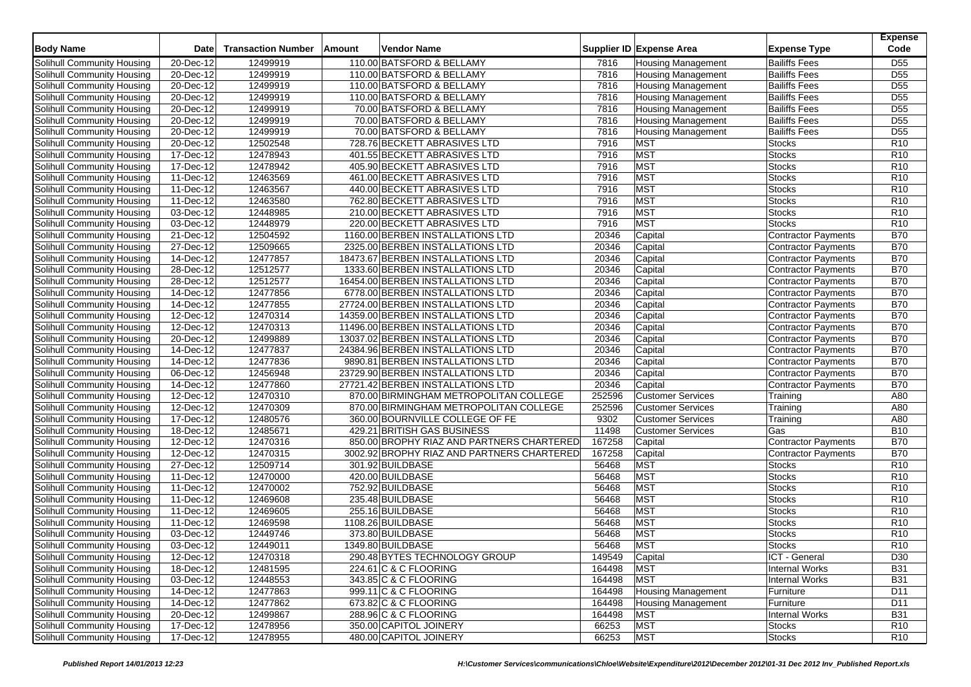| <b>Body Name</b>           | <b>Date</b>             | <b>Transaction Number</b> | Amount | <b>Vendor Name</b>                         |        | Supplier ID Expense Area  | <b>Expense Type</b>        | <b>Expense</b><br>Code |
|----------------------------|-------------------------|---------------------------|--------|--------------------------------------------|--------|---------------------------|----------------------------|------------------------|
| Solihull Community Housing | 20-Dec-12               | 12499919                  |        | 110.00 BATSFORD & BELLAMY                  | 7816   | <b>Housing Management</b> | <b>Bailiffs Fees</b>       | D <sub>55</sub>        |
| Solihull Community Housing | 20-Dec-12               | 12499919                  |        | 110.00 BATSFORD & BELLAMY                  | 7816   | <b>Housing Management</b> | <b>Bailiffs Fees</b>       | D <sub>55</sub>        |
| Solihull Community Housing | 20-Dec-12               | 12499919                  |        | 110.00 BATSFORD & BELLAMY                  | 7816   | <b>Housing Management</b> | <b>Bailiffs Fees</b>       | D <sub>55</sub>        |
| Solihull Community Housing | $\overline{20}$ -Dec-12 | 12499919                  |        | 110.00 BATSFORD & BELLAMY                  | 7816   | <b>Housing Management</b> | <b>Bailiffs Fees</b>       | D <sub>55</sub>        |
| Solihull Community Housing | 20-Dec-12               | 12499919                  |        | 70.00 BATSFORD & BELLAMY                   | 7816   | <b>Housing Management</b> | <b>Bailiffs Fees</b>       | D <sub>55</sub>        |
| Solihull Community Housing | 20-Dec-12               | 12499919                  |        | 70.00 BATSFORD & BELLAMY                   | 7816   | <b>Housing Management</b> | <b>Bailiffs Fees</b>       | D <sub>55</sub>        |
| Solihull Community Housing | 20-Dec-12               | 12499919                  |        | 70.00 BATSFORD & BELLAMY                   | 7816   | <b>Housing Management</b> | <b>Bailiffs Fees</b>       | $\overline{D55}$       |
| Solihull Community Housing | 20-Dec-12               | 12502548                  |        | 728.76 BECKETT ABRASIVES LTD               | 7916   | <b>MST</b>                | <b>Stocks</b>              | R <sub>10</sub>        |
| Solihull Community Housing | 17-Dec-12               | 12478943                  |        | 401.55 BECKETT ABRASIVES LTD               | 7916   | <b>MST</b>                | <b>Stocks</b>              | R <sub>10</sub>        |
| Solihull Community Housing | 17-Dec-12               | 12478942                  |        | 405.90 BECKETT ABRASIVES LTD               | 7916   | <b>MST</b>                | <b>Stocks</b>              | R <sub>10</sub>        |
| Solihull Community Housing | 11-Dec-12               | 12463569                  |        | 461.00 BECKETT ABRASIVES LTD               | 7916   | <b>MST</b>                | <b>Stocks</b>              | R <sub>10</sub>        |
| Solihull Community Housing | 11-Dec-12               | 12463567                  |        | 440.00 BECKETT ABRASIVES LTD               | 7916   | <b>MST</b>                | <b>Stocks</b>              | R <sub>10</sub>        |
| Solihull Community Housing | 11-Dec-12               | 12463580                  |        | 762.80 BECKETT ABRASIVES LTD               | 7916   | MST                       | <b>Stocks</b>              | R <sub>10</sub>        |
| Solihull Community Housing | 03-Dec-12               | 12448985                  |        | 210.00 BECKETT ABRASIVES LTD               | 7916   | <b>MST</b>                | <b>Stocks</b>              | R <sub>10</sub>        |
| Solihull Community Housing | 03-Dec-12               | 12448979                  |        | 220.00 BECKETT ABRASIVES LTD               | 7916   | <b>MST</b>                | <b>Stocks</b>              | R <sub>10</sub>        |
| Solihull Community Housing | 21-Dec-12               | 12504592                  |        | 1160.00 BERBEN INSTALLATIONS LTD           | 20346  | Capital                   | <b>Contractor Payments</b> | <b>B70</b>             |
| Solihull Community Housing | 27-Dec-12               | 12509665                  |        | 2325.00 BERBEN INSTALLATIONS LTD           | 20346  | Capital                   | <b>Contractor Payments</b> | <b>B70</b>             |
| Solihull Community Housing | 14-Dec-12               | 12477857                  |        | 18473.67 BERBEN INSTALLATIONS LTD          | 20346  | Capital                   | <b>Contractor Payments</b> | <b>B70</b>             |
| Solihull Community Housing | 28-Dec-12               | 12512577                  |        | 1333.60 BERBEN INSTALLATIONS LTD           | 20346  | Capital                   | <b>Contractor Payments</b> | <b>B70</b>             |
| Solihull Community Housing | 28-Dec-12               | 12512577                  |        | 16454.00 BERBEN INSTALLATIONS LTD          | 20346  | Capital                   | Contractor Payments        | <b>B70</b>             |
| Solihull Community Housing | 14-Dec-12               | 12477856                  |        | 6778.00 BERBEN INSTALLATIONS LTD           | 20346  | Capital                   | <b>Contractor Payments</b> | <b>B70</b>             |
| Solihull Community Housing | 14-Dec-12               | 12477855                  |        | 27724.00 BERBEN INSTALLATIONS LTD          | 20346  | Capital                   | <b>Contractor Payments</b> | <b>B70</b>             |
| Solihull Community Housing | 12-Dec-12               | 12470314                  |        | 14359.00 BERBEN INSTALLATIONS LTD          | 20346  | Capital                   | Contractor Payments        | <b>B70</b>             |
| Solihull Community Housing | 12-Dec-12               | 12470313                  |        | 11496.00 BERBEN INSTALLATIONS LTD          | 20346  | Capital                   | Contractor Payments        | <b>B70</b>             |
| Solihull Community Housing | 20-Dec-12               | 12499889                  |        | 13037.02 BERBEN INSTALLATIONS LTD          | 20346  | Capital                   | <b>Contractor Payments</b> | <b>B70</b>             |
| Solihull Community Housing | 14-Dec-12               | 12477837                  |        | 24384.96 BERBEN INSTALLATIONS LTD          | 20346  | Capital                   | Contractor Payments        | <b>B70</b>             |
| Solihull Community Housing | $14 - Dec-12$           | 12477836                  |        | 9890.81 BERBEN INSTALLATIONS LTD           | 20346  | Capital                   | <b>Contractor Payments</b> | <b>B70</b>             |
| Solihull Community Housing | 06-Dec-12               | 12456948                  |        | 23729.90 BERBEN INSTALLATIONS LTD          | 20346  | Capital                   | Contractor Payments        | <b>B70</b>             |
| Solihull Community Housing | 14-Dec-12               | 12477860                  |        | 27721.42 BERBEN INSTALLATIONS LTD          | 20346  | Capital                   | Contractor Payments        | <b>B70</b>             |
| Solihull Community Housing | $12$ -Dec-12            | 12470310                  |        | 870.00 BIRMINGHAM METROPOLITAN COLLEGE     | 252596 | <b>Customer Services</b>  | Training                   | A80                    |
| Solihull Community Housing | 12-Dec-12               | 12470309                  |        | 870.00 BIRMINGHAM METROPOLITAN COLLEGE     | 252596 | <b>Customer Services</b>  | Training                   | A80                    |
| Solihull Community Housing | 17-Dec-12               | 12480576                  |        | 360.00 BOURNVILLE COLLEGE OF FE            | 9302   | <b>Customer Services</b>  | Training                   | A80                    |
| Solihull Community Housing | 18-Dec-12               | 12485671                  |        | 429.21 BRITISH GAS BUSINESS                | 11498  | <b>Customer Services</b>  | Gas                        | <b>B10</b>             |
| Solihull Community Housing | 12-Dec-12               | 12470316                  |        | 850.00 BROPHY RIAZ AND PARTNERS CHARTERED  | 167258 | Capital                   | <b>Contractor Payments</b> | <b>B70</b>             |
| Solihull Community Housing | 12-Dec-12               | 12470315                  |        | 3002.92 BROPHY RIAZ AND PARTNERS CHARTERED | 167258 | Capital                   | Contractor Payments        | <b>B70</b>             |
| Solihull Community Housing | 27-Dec-12               | 12509714                  |        | 301.92 BUILDBASE                           | 56468  | <b>MST</b>                | <b>Stocks</b>              | R <sub>10</sub>        |
| Solihull Community Housing | 11-Dec-12               | 12470000                  |        | 420.00 BUILDBASE                           | 56468  | <b>MST</b>                | <b>Stocks</b>              | R <sub>10</sub>        |
| Solihull Community Housing | 11-Dec-12               | 12470002                  |        | 752.92 BUILDBASE                           | 56468  | <b>MST</b>                | <b>Stocks</b>              | R <sub>10</sub>        |
| Solihull Community Housing | 11-Dec-12               | 12469608                  |        | 235.48 BUILDBASE                           | 56468  | <b>MST</b>                | <b>Stocks</b>              | R <sub>10</sub>        |
| Solihull Community Housing | 11-Dec-12               | 12469605                  |        | 255.16 BUILDBASE                           | 56468  | <b>MST</b>                | <b>Stocks</b>              | R <sub>10</sub>        |
| Solihull Community Housing | 11-Dec-12               | 12469598                  |        | 1108.26 BUILDBASE                          | 56468  | <b>MST</b>                | <b>Stocks</b>              | R <sub>10</sub>        |
| Solihull Community Housing | 03-Dec-12               | 12449746                  |        | 373.80 BUILDBASE                           | 56468  | <b>MST</b>                | <b>Stocks</b>              | R <sub>10</sub>        |
| Solihull Community Housing | 03-Dec-12               | 12449011                  |        | 1349.80 BUILDBASE                          | 56468  | <b>MST</b>                | <b>Stocks</b>              | R <sub>10</sub>        |
| Solihull Community Housing | 12-Dec-12               | 12470318                  |        | 290.48 BYTES TECHNOLOGY GROUP              | 149549 | Capital                   | ICT - General              | D <sub>30</sub>        |
| Solihull Community Housing | 18-Dec-12               | 12481595                  |        | 224.61 C & C FLOORING                      | 164498 | MST                       | Internal Works             | <b>B31</b>             |
| Solihull Community Housing | 03-Dec-12               | 12448553                  |        | 343.85 C & C FLOORING                      | 164498 | <b>MST</b>                | <b>Internal Works</b>      | <b>B31</b>             |
| Solihull Community Housing | 14-Dec-12               | 12477863                  |        | 999.11 C & C FLOORING                      | 164498 | <b>Housing Management</b> | Furniture                  | D11                    |
| Solihull Community Housing | 14-Dec-12               | 12477862                  |        | 673.82 C & C FLOORING                      | 164498 | <b>Housing Management</b> | Furniture                  | D11                    |
| Solihull Community Housing | $20 - Dec-12$           | 12499867                  |        | 288.96 C & C FLOORING                      | 164498 | <b>MST</b>                | <b>Internal Works</b>      | <b>B31</b>             |
| Solihull Community Housing | 17-Dec-12               | 12478956                  |        | 350.00 CAPITOL JOINERY                     | 66253  | MST                       | <b>Stocks</b>              | R <sub>10</sub>        |
| Solihull Community Housing | 17-Dec-12               | 12478955                  |        | 480.00 CAPITOL JOINERY                     | 66253  | <b>MST</b>                | <b>Stocks</b>              | <b>R10</b>             |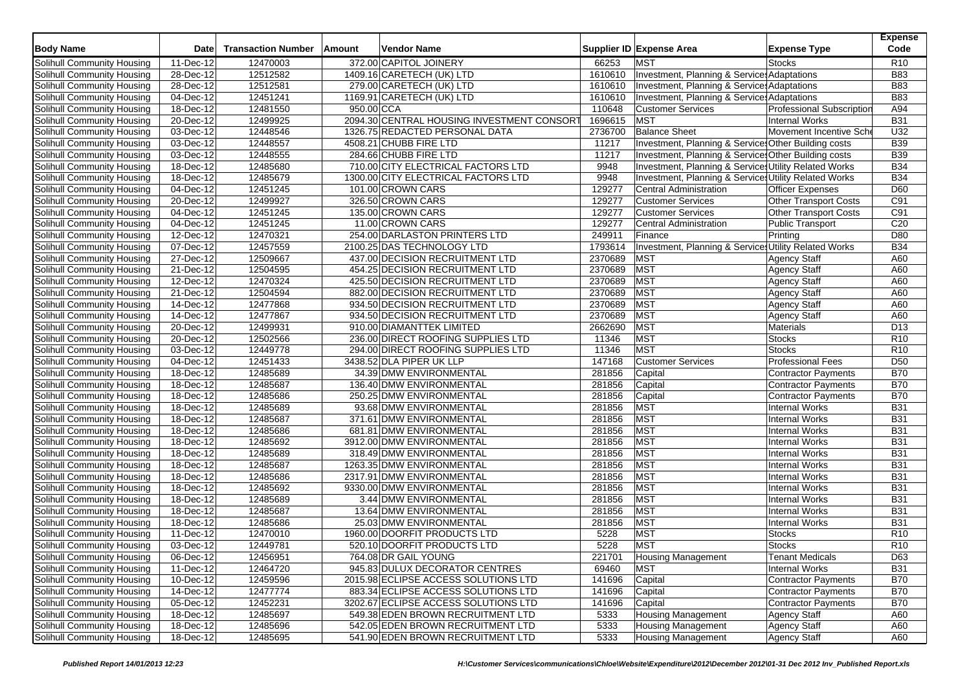| <b>Body Name</b>                  | <b>Date</b>             | <b>Transaction Number</b> | Amount     | <b>Vendor Name</b>                         |         | Supplier ID Expense Area                              | <b>Expense Type</b>              | <b>Expense</b><br>Code |
|-----------------------------------|-------------------------|---------------------------|------------|--------------------------------------------|---------|-------------------------------------------------------|----------------------------------|------------------------|
| Solihull Community Housing        | 11-Dec-12               | 12470003                  |            | 372.00 CAPITOL JOINERY                     | 66253   | <b>MST</b>                                            | Stocks                           | R <sub>10</sub>        |
| Solihull Community Housing        | 28-Dec-12               | 12512582                  |            | 1409.16 CARETECH (UK) LTD                  | 1610610 | Investment, Planning & Service: Adaptations           |                                  | <b>B83</b>             |
| Solihull Community Housing        | 28-Dec-12               | 12512581                  |            | 279.00 CARETECH (UK) LTD                   | 1610610 | Investment, Planning & Services Adaptations           |                                  | <b>B83</b>             |
| Solihull Community Housing        | $\overline{04}$ -Dec-12 | 12451241                  |            | 1169.91 CARETECH (UK) LTD                  | 1610610 | Investment, Planning & Service: Adaptations           |                                  | <b>B83</b>             |
| Solihull Community Housing        | 18-Dec-12               | 12481550                  | 950.00 CCA |                                            | 110648  | <b>Customer Services</b>                              | <b>Professional Subscription</b> | A94                    |
| Solihull Community Housing        | 20-Dec-12               | 12499925                  |            | 2094.30 CENTRAL HOUSING INVESTMENT CONSORT | 1696615 | <b>MST</b>                                            | Internal Works                   | <b>B31</b>             |
| Solihull Community Housing        | 03-Dec-12               | 12448546                  |            | 1326.75 REDACTED PERSONAL DATA             | 2736700 | <b>Balance Sheet</b>                                  | Movement Incentive Sche          | U32                    |
| Solihull Community Housing        | 03-Dec-12               | 12448557                  |            | 4508.21 CHUBB FIRE LTD                     | 11217   | Investment, Planning & Service: Other Building costs  |                                  | <b>B39</b>             |
| Solihull Community Housing        | $03$ -Dec-12            | 12448555                  |            | 284.66 CHUBB FIRE LTD                      | 11217   | Investment, Planning & Services Other Building costs  |                                  | <b>B39</b>             |
| Solihull Community Housing        | 18-Dec-12               | 12485680                  |            | 710.00 CITY ELECTRICAL FACTORS LTD         | 9948    | Investment, Planning & Services Utility Related Works |                                  | <b>B34</b>             |
| Solihull Community Housing        | 18-Dec-12               | 12485679                  |            | 1300.00 CITY ELECTRICAL FACTORS LTD        | 9948    | Investment, Planning & Services Utility Related Works |                                  | <b>B34</b>             |
| Solihull Community Housing        | 04-Dec-12               | 12451245                  |            | 101.00 CROWN CARS                          | 129277  | Central Administration                                | Officer Expenses                 | D60                    |
| Solihull Community Housing        | 20-Dec-12               | 12499927                  |            | 326.50 CROWN CARS                          | 129277  | <b>Customer Services</b>                              | Other Transport Costs            | C91                    |
| Solihull Community Housing        | 04-Dec-12               | 12451245                  |            | 135.00 CROWN CARS                          | 129277  | <b>Customer Services</b>                              | <b>Other Transport Costs</b>     | C91                    |
| Solihull Community Housing        | 04-Dec-12               | 12451245                  |            | 11.00 CROWN CARS                           | 129277  | <b>Central Administration</b>                         | Public Transport                 | C20                    |
| Solihull Community Housing        | 12-Dec-12               | 12470321                  |            | 254.00 DARLASTON PRINTERS LTD              | 249911  | Finance                                               | Printing                         | D80                    |
| Solihull Community Housing        | 07-Dec-12               | 12457559                  |            | 2100.25 DAS TECHNOLOGY LTD                 | 1793614 | Investment, Planning & Service Utility Related Works  |                                  | <b>B34</b>             |
| Solihull Community Housing        | 27-Dec-12               | 12509667                  |            | 437.00 DECISION RECRUITMENT LTD            | 2370689 | <b>MST</b>                                            | <b>Agency Staff</b>              | A60                    |
| Solihull Community Housing        | 21-Dec-12               | 12504595                  |            | 454.25 DECISION RECRUITMENT LTD            | 2370689 | <b>MST</b>                                            | <b>Agency Staff</b>              | A60                    |
| Solihull Community Housing        | 12-Dec-12               | 12470324                  |            | 425.50 DECISION RECRUITMENT LTD            | 2370689 | <b>MST</b>                                            | <b>Agency Staff</b>              | A60                    |
| Solihull Community Housing        | 21-Dec-12               | 12504594                  |            | 882.00 DECISION RECRUITMENT LTD            | 2370689 | <b>MST</b>                                            | <b>Agency Staff</b>              | A60                    |
| <b>Solihull Community Housing</b> | 14-Dec-12               | 12477868                  |            | 934.50 DECISION RECRUITMENT LTD            | 2370689 | <b>MST</b>                                            | <b>Agency Staff</b>              | A60                    |
| Solihull Community Housing        | 14-Dec-12               | 12477867                  |            | 934.50 DECISION RECRUITMENT LTD            | 2370689 | <b>MST</b>                                            | Agency Staff                     | A60                    |
| Solihull Community Housing        | $20 - Dec-12$           | 12499931                  |            | 910.00 DIAMANTTEK LIMITED                  | 2662690 | <b>MST</b>                                            | <b>Materials</b>                 | D <sub>13</sub>        |
| Solihull Community Housing        | 20-Dec-12               | 12502566                  |            | 236.00 DIRECT ROOFING SUPPLIES LTD         | 11346   | <b>MST</b>                                            | <b>Stocks</b>                    | R <sub>10</sub>        |
| Solihull Community Housing        | 03-Dec-12               | 12449778                  |            | 294.00 DIRECT ROOFING SUPPLIES LTD         | 11346   | <b>MST</b>                                            | <b>Stocks</b>                    | R <sub>10</sub>        |
| Solihull Community Housing        | 04-Dec-12               | 12451433                  |            | 3438.52 DLA PIPER UK LLP                   | 147168  | <b>Customer Services</b>                              | <b>Professional Fees</b>         | D <sub>50</sub>        |
| Solihull Community Housing        | $\overline{18}$ -Dec-12 | 12485689                  |            | 34.39 DMW ENVIRONMENTAL                    | 281856  | Capital                                               | Contractor Payments              | <b>B70</b>             |
| Solihull Community Housing        | 18-Dec-12               | 12485687                  |            | 136.40 DMW ENVIRONMENTAL                   | 281856  | Capital                                               | Contractor Payments              | <b>B70</b>             |
| Solihull Community Housing        | 18-Dec-12               | 12485686                  |            | 250.25 DMW ENVIRONMENTAL                   | 281856  | Capital                                               | <b>Contractor Payments</b>       | <b>B70</b>             |
| Solihull Community Housing        | 18-Dec-12               | 12485689                  |            | 93.68 DMW ENVIRONMENTAL                    | 281856  | <b>MST</b>                                            | <b>Internal Works</b>            | <b>B31</b>             |
| Solihull Community Housing        | 18-Dec-12               | 12485687                  |            | 371.61 DMW ENVIRONMENTAL                   | 281856  | <b>MST</b>                                            | <b>Internal Works</b>            | <b>B31</b>             |
| Solihull Community Housing        | 18-Dec-12               | 12485686                  |            | 681.81 DMW ENVIRONMENTAL                   | 281856  | <b>MST</b>                                            | <b>Internal Works</b>            | <b>B31</b>             |
| Solihull Community Housing        | 18-Dec-12               | 12485692                  |            | 3912.00 DMW ENVIRONMENTAL                  | 281856  | <b>MST</b>                                            | <b>Internal Works</b>            | <b>B31</b>             |
| Solihull Community Housing        | 18-Dec-12               | 12485689                  |            | 318.49 DMW ENVIRONMENTAL                   | 281856  | <b>MST</b>                                            | <b>Internal Works</b>            | <b>B31</b>             |
| Solihull Community Housing        | 18-Dec-12               | 12485687                  |            | 1263.35 DMW ENVIRONMENTAL                  | 281856  | <b>MST</b>                                            | <b>Internal Works</b>            | <b>B31</b>             |
| Solihull Community Housing        | 18-Dec-12               | 12485686                  |            | 2317.91 DMW ENVIRONMENTAL                  | 281856  | <b>MST</b>                                            | <b>Internal Works</b>            | <b>B31</b>             |
| Solihull Community Housing        | 18-Dec-12               | 12485692                  |            | 9330.00 DMW ENVIRONMENTAL                  | 281856  | <b>MST</b>                                            | <b>Internal Works</b>            | <b>B31</b>             |
| Solihull Community Housing        | 18-Dec-12               | 12485689                  |            | 3.44 DMW ENVIRONMENTAL                     | 281856  | <b>MST</b>                                            | <b>Internal Works</b>            | <b>B31</b>             |
| Solihull Community Housing        | 18-Dec-12               | 12485687                  |            | 13.64 DMW ENVIRONMENTAL                    | 281856  | <b>MST</b>                                            | <b>Internal Works</b>            | <b>B31</b>             |
| Solihull Community Housing        | 18-Dec-12               | 12485686                  |            | 25.03 DMW ENVIRONMENTAL                    | 281856  | <b>MST</b>                                            | <b>Internal Works</b>            | <b>B31</b>             |
| Solihull Community Housing        | 11-Dec-12               | 12470010                  |            | 1960.00 DOORFIT PRODUCTS LTD               | 5228    | <b>MST</b>                                            | <b>Stocks</b>                    | R10                    |
| Solihull Community Housing        | 03-Dec-12               | 12449781                  |            | 520.10 DOORFIT PRODUCTS LTD                | 5228    | <b>MST</b>                                            | <b>Stocks</b>                    | R <sub>10</sub>        |
| Solihull Community Housing        | 06-Dec-12               | 12456951                  |            | 764.08 DR GAIL YOUNG                       | 221701  | <b>Housing Management</b>                             | <b>Tenant Medicals</b>           | D63                    |
| Solihull Community Housing        | 11-Dec-12               | 12464720                  |            | 945.83 DULUX DECORATOR CENTRES             | 69460   | <b>MST</b>                                            | Internal Works                   | <b>B31</b>             |
| Solihull Community Housing        | 10-Dec-12               | 12459596                  |            | 2015.98 ECLIPSE ACCESS SOLUTIONS LTD       | 141696  | Capital                                               | Contractor Payments              | <b>B70</b>             |
| Solihull Community Housing        | 14-Dec-12               | 12477774                  |            | 883.34 ECLIPSE ACCESS SOLUTIONS LTD        | 141696  | Capital                                               | Contractor Payments              | <b>B70</b>             |
| Solihull Community Housing        | 05-Dec-12               | 12452231                  |            | 3202.67 ECLIPSE ACCESS SOLUTIONS LTD       | 141696  | Capital                                               | Contractor Payments              | <b>B70</b>             |
| Solihull Community Housing        | 18-Dec-12               | 12485697                  |            | 549.38 EDEN BROWN RECRUITMENT LTD          | 5333    | <b>Housing Management</b>                             | <b>Agency Staff</b>              | A60                    |
| Solihull Community Housing        | 18-Dec-12               | 12485696                  |            | 542.05 EDEN BROWN RECRUITMENT LTD          | 5333    | <b>Housing Management</b>                             | <b>Agency Staff</b>              | A60                    |
| Solihull Community Housing        | 18-Dec-12               | 12485695                  |            | 541.90 EDEN BROWN RECRUITMENT LTD          | 5333    | <b>Housing Management</b>                             | <b>Agency Staff</b>              | A60                    |
|                                   |                         |                           |            |                                            |         |                                                       |                                  |                        |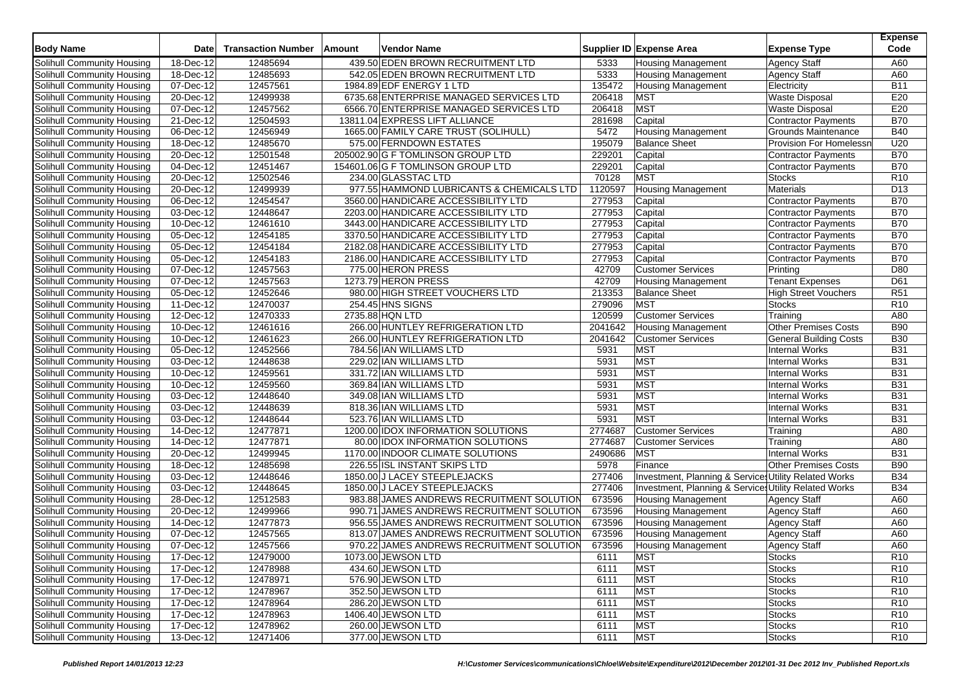| <b>Body Name</b>                  | <b>Date</b>             | <b>Transaction Number</b> | Amount | <b>Vendor Name</b>                        |         | Supplier ID Expense Area                              | <b>Expense Type</b>            | <b>Expense</b><br>Code |
|-----------------------------------|-------------------------|---------------------------|--------|-------------------------------------------|---------|-------------------------------------------------------|--------------------------------|------------------------|
| Solihull Community Housing        | 18-Dec-12               | 12485694                  |        | 439.50 EDEN BROWN RECRUITMENT LTD         | 5333    | <b>Housing Management</b>                             | <b>Agency Staff</b>            | A60                    |
| Solihull Community Housing        | 18-Dec-12               | 12485693                  |        | 542.05 EDEN BROWN RECRUITMENT LTD         | 5333    | <b>Housing Management</b>                             | <b>Agency Staff</b>            | A60                    |
| Solihull Community Housing        | 07-Dec-12               | 12457561                  |        | 1984.89 EDF ENERGY 1 LTD                  | 135472  | <b>Housing Management</b>                             | Electricity                    | <b>B11</b>             |
| Solihull Community Housing        | $\overline{20}$ -Dec-12 | 12499938                  |        | 6735.68 ENTERPRISE MANAGED SERVICES LTD   | 206418  | <b>MST</b>                                            | <b>Waste Disposal</b>          | E20                    |
| Solihull Community Housing        | 07-Dec-12               | 12457562                  |        | 6566.70 ENTERPRISE MANAGED SERVICES LTD   | 206418  | <b>MST</b>                                            | <b>Waste Disposal</b>          | E20                    |
| Solihull Community Housing        | 21-Dec-12               | 12504593                  |        | 13811.04 EXPRESS LIFT ALLIANCE            | 281698  | Capital                                               | <b>Contractor Payments</b>     | <b>B70</b>             |
| Solihull Community Housing        | $\overline{06}$ -Dec-12 | 12456949                  |        | 1665.00 FAMILY CARE TRUST (SOLIHULL)      | 5472    | <b>Housing Management</b>                             | Grounds Maintenance            | <b>B40</b>             |
| Solihull Community Housing        | 18-Dec-12               | 12485670                  |        | 575.00 FERNDOWN ESTATES                   | 195079  | <b>Balance Sheet</b>                                  | <b>Provision For Homelessn</b> | U20                    |
| Solihull Community Housing        | $20 - Dec-12$           | 12501548                  |        | 205002.90 G F TOMLINSON GROUP LTD         | 229201  | Capital                                               | Contractor Payments            | <b>B70</b>             |
| Solihull Community Housing        | $\overline{04}$ -Dec-12 | 12451467                  |        | 154601.06 G F TOMLINSON GROUP LTD         | 229201  | Capital                                               | Contractor Payments            | <b>B70</b>             |
| Solihull Community Housing        | $20$ -Dec-12            | 12502546                  |        | 234.00 GLASSTAC LTD                       | 70128   | <b>MST</b>                                            | <b>Stocks</b>                  | R <sub>10</sub>        |
| Solihull Community Housing        | $20 - Dec-12$           | 12499939                  |        | 977.55 HAMMOND LUBRICANTS & CHEMICALS LTD | 1120597 | <b>Housing Management</b>                             | Materials                      | D <sub>13</sub>        |
| Solihull Community Housing        | 06-Dec-12               | 12454547                  |        | 3560.00 HANDICARE ACCESSIBILITY LTD       | 277953  | Capital                                               | Contractor Payments            | <b>B70</b>             |
| Solihull Community Housing        | 03-Dec-12               | 12448647                  |        | 2203.00 HANDICARE ACCESSIBILITY LTD       | 277953  | Capital                                               | <b>Contractor Payments</b>     | <b>B70</b>             |
| Solihull Community Housing        | 10-Dec-12               | 12461610                  |        | 3443.00 HANDICARE ACCESSIBILITY LTD       | 277953  | Capital                                               | Contractor Payments            | <b>B70</b>             |
| Solihull Community Housing        | 05-Dec-12               | 12454185                  |        | 3370.50 HANDICARE ACCESSIBILITY LTD       | 277953  | Capital                                               | Contractor Payments            | <b>B70</b>             |
| Solihull Community Housing        | 05-Dec-12               | 12454184                  |        | 2182.08 HANDICARE ACCESSIBILITY LTD       | 277953  | Capital                                               | Contractor Payments            | <b>B70</b>             |
| Solihull Community Housing        | 05-Dec-12               | 12454183                  |        | 2186.00 HANDICARE ACCESSIBILITY LTD       | 277953  | Capital                                               | <b>Contractor Payments</b>     | <b>B70</b>             |
| Solihull Community Housing        | 07-Dec-12               | 12457563                  |        | 775.00 HERON PRESS                        | 42709   | <b>Customer Services</b>                              | Printing                       | D80                    |
| Solihull Community Housing        | 07-Dec-12               | 12457563                  |        | 1273.79 HERON PRESS                       | 42709   | <b>Housing Management</b>                             | <b>Tenant Expenses</b>         | D61                    |
| Solihull Community Housing        | 05-Dec-12               | 12452646                  |        | 980.00 HIGH STREET VOUCHERS LTD           | 213353  | <b>Balance Sheet</b>                                  | <b>High Street Vouchers</b>    | R <sub>51</sub>        |
| Solihull Community Housing        | 11-Dec-12               | 12470037                  |        | 254.45 HNS SIGNS                          | 279096  | <b>MST</b>                                            | <b>Stocks</b>                  | R <sub>10</sub>        |
| Solihull Community Housing        | 12-Dec-12               | 12470333                  |        | 2735.88 HQN LTD                           | 120599  | <b>Customer Services</b>                              | Training                       | A80                    |
| Solihull Community Housing        | 10-Dec-12               | 12461616                  |        | 266.00 HUNTLEY REFRIGERATION LTD          | 2041642 | Housing Management                                    | <b>Other Premises Costs</b>    | <b>B90</b>             |
| Solihull Community Housing        | 10-Dec-12               | 12461623                  |        | 266.00 HUNTLEY REFRIGERATION LTD          | 2041642 | <b>Customer Services</b>                              | <b>General Building Costs</b>  | <b>B30</b>             |
| Solihull Community Housing        | 05-Dec-12               | 12452566                  |        | 784.56 IAN WILLIAMS LTD                   | 5931    | <b>MST</b>                                            | <b>Internal Works</b>          | <b>B31</b>             |
| Solihull Community Housing        | 03-Dec-12               | 12448638                  |        | 229.02 IAN WILLIAMS LTD                   | 5931    | <b>MST</b>                                            | <b>Internal Works</b>          | <b>B31</b>             |
| Solihull Community Housing        | 10-Dec-12               | 12459561                  |        | 331.72 IAN WILLIAMS LTD                   | 5931    | <b>MST</b>                                            | <b>Internal Works</b>          | <b>B31</b>             |
| Solihull Community Housing        | 10-Dec-12               | 12459560                  |        | 369.84 IAN WILLIAMS LTD                   | 5931    | <b>MST</b>                                            | <b>Internal Works</b>          | <b>B31</b>             |
| Solihull Community Housing        | 03-Dec-12               | 12448640                  |        | 349.08 IAN WILLIAMS LTD                   | 5931    | <b>MST</b>                                            | <b>Internal Works</b>          | <b>B31</b>             |
| Solihull Community Housing        | $\overline{03}$ -Dec-12 | 12448639                  |        | 818.36 IAN WILLIAMS LTD                   | 5931    | <b>MST</b>                                            | <b>Internal Works</b>          | <b>B31</b>             |
| Solihull Community Housing        | 03-Dec-12               | 12448644                  |        | 523.76 IAN WILLIAMS LTD                   | 5931    | <b>MST</b>                                            | <b>Internal Works</b>          | <b>B31</b>             |
| Solihull Community Housing        | 14-Dec-12               | 12477871                  |        | 1200.00 IDOX INFORMATION SOLUTIONS        | 2774687 | <b>Customer Services</b>                              | Training                       | A80                    |
| Solihull Community Housing        | 14-Dec-12               | 12477871                  |        | 80.00 IDOX INFORMATION SOLUTIONS          | 2774687 | <b>Customer Services</b>                              | Training                       | A80                    |
| Solihull Community Housing        | 20-Dec-12               | 12499945                  |        | 1170.00 INDOOR CLIMATE SOLUTIONS          | 2490686 | <b>MST</b>                                            | <b>Internal Works</b>          | <b>B31</b>             |
| Solihull Community Housing        | 18-Dec-12               | 12485698                  |        | 226.55 ISL INSTANT SKIPS LTD              | 5978    | Finance                                               | Other Premises Costs           | <b>B90</b>             |
| Solihull Community Housing        | 03-Dec-12               | 12448646                  |        | 1850.00 J LACEY STEEPLEJACKS              | 277406  | Investment, Planning & Services Utility Related Works |                                | <b>B34</b>             |
| Solihull Community Housing        | 03-Dec-12               | 12448645                  |        | 1850.00 J LACEY STEEPLEJACKS              | 277406  | Investment, Planning & Services Utility Related Works |                                | <b>B34</b>             |
| Solihull Community Housing        | 28-Dec-12               | 12512583                  |        | 983.88 JAMES ANDREWS RECRUITMENT SOLUTION | 673596  | <b>Housing Management</b>                             | <b>Agency Staff</b>            | A60                    |
| Solihull Community Housing        | 20-Dec-12               | 12499966                  |        | 990.71 JAMES ANDREWS RECRUITMENT SOLUTION | 673596  | <b>Housing Management</b>                             | <b>Agency Staff</b>            | A60                    |
| Solihull Community Housing        | 14-Dec-12               | 12477873                  |        | 956.55 JAMES ANDREWS RECRUITMENT SOLUTION | 673596  | <b>Housing Management</b>                             | <b>Agency Staff</b>            | A60                    |
| Solihull Community Housing        | 07-Dec-12               | 12457565                  |        | 813.07 JAMES ANDREWS RECRUITMENT SOLUTION | 673596  | <b>Housing Management</b>                             | <b>Agency Staff</b>            | A60                    |
| Solihull Community Housing        | 07-Dec-12               | 12457566                  |        | 970.22 JAMES ANDREWS RECRUITMENT SOLUTION | 673596  | <b>Housing Management</b>                             | <b>Agency Staff</b>            | A60                    |
| Solihull Community Housing        | 17-Dec-12               | 12479000                  |        | 1073.00 JEWSON LTD                        | 6111    | <b>MST</b>                                            | <b>Stocks</b>                  | R <sub>10</sub>        |
| Solihull Community Housing        | $17 - Dec-12$           | 12478988                  |        | 434.60 JEWSON LTD                         | 6111    | <b>MST</b>                                            | <b>Stocks</b>                  | R <sub>10</sub>        |
| Solihull Community Housing        | 17-Dec-12               | 12478971                  |        | 576.90 JEWSON LTD                         | 6111    | <b>MST</b>                                            | <b>Stocks</b>                  | R <sub>10</sub>        |
| Solihull Community Housing        | 17-Dec-12               | 12478967                  |        | 352.50 JEWSON LTD                         | 6111    | <b>MST</b>                                            | <b>Stocks</b>                  | R <sub>10</sub>        |
| Solihull Community Housing        | 17-Dec-12               | 12478964                  |        | 286.20 JEWSON LTD                         | 6111    | <b>MST</b>                                            | <b>Stocks</b>                  | R <sub>10</sub>        |
| Solihull Community Housing        | 17-Dec-12               | 12478963                  |        | 1406.40 JEWSON LTD                        | 6111    | <b>MST</b>                                            | <b>Stocks</b>                  | R <sub>10</sub>        |
| <b>Solihull Community Housing</b> | 17-Dec-12               | 12478962                  |        | 260.00 JEWSON LTD                         | 6111    | <b>MST</b>                                            | <b>Stocks</b>                  | R <sub>10</sub>        |
| Solihull Community Housing        | 13-Dec-12               | 12471406                  |        | 377.00 JEWSON LTD                         | 6111    | <b>MST</b>                                            | <b>Stocks</b>                  | R <sub>10</sub>        |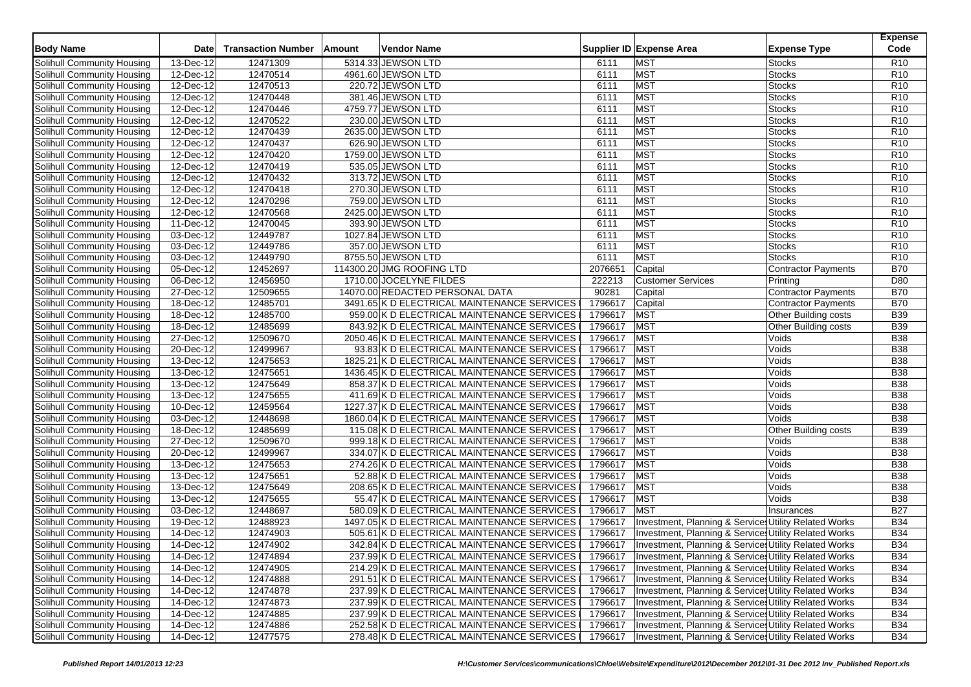| <b>Body Name</b><br><b>Date</b>                       | <b>Transaction Number</b> | Amount | <b>Vendor Name</b>                           |         | Supplier ID Expense Area | <b>Expense Type</b>                                   | <b>Expense</b><br>Code |
|-------------------------------------------------------|---------------------------|--------|----------------------------------------------|---------|--------------------------|-------------------------------------------------------|------------------------|
| <b>Solihull Community Housing</b><br>13-Dec-12        | 12471309                  |        | 5314.33 JEWSON LTD                           | 6111    | <b>MST</b>               | <b>Stocks</b>                                         | R <sub>10</sub>        |
| Solihull Community Housing<br>12-Dec-12               | 12470514                  |        | 4961.60 JEWSON LTD                           | 6111    | <b>MST</b>               | <b>Stocks</b>                                         | R <sub>10</sub>        |
| 12-Dec-12<br>Solihull Community Housing               | 12470513                  |        | 220.72 JEWSON LTD                            | 6111    | <b>MST</b>               | <b>Stocks</b>                                         | R <sub>10</sub>        |
| Solihull Community Housing<br>12-Dec-12               | 12470448                  |        | 381.46 JEWSON LTD                            | 6111    | MST                      | Stocks                                                | R <sub>10</sub>        |
| Solihull Community Housing<br>12-Dec-12               | 12470446                  |        | 4759.77 JEWSON LTD                           | 6111    | <b>MST</b>               | <b>Stocks</b>                                         | R <sub>10</sub>        |
| Solihull Community Housing<br>12-Dec-12               | 12470522                  |        | 230.00 JEWSON LTD                            | 6111    | MST                      | <b>Stocks</b>                                         | R <sub>10</sub>        |
| Solihull Community Housing<br>12-Dec-12               | 12470439                  |        | 2635.00 JEWSON LTD                           | 6111    | MST                      | Stocks                                                | R <sub>10</sub>        |
| <b>Solihull Community Housing</b><br>12-Dec-12        | 12470437                  |        | 626.90 JEWSON LTD                            | 6111    | <b>MST</b>               | <b>Stocks</b>                                         | R <sub>10</sub>        |
| Solihull Community Housing<br>12-Dec-12               | 12470420                  |        | 1759.00 JEWSON LTD                           | 6111    | MST                      | <b>Stocks</b>                                         | R <sub>10</sub>        |
| Solihull Community Housing<br>12-Dec-12               | 12470419                  |        | 535.05 JEWSON LTD                            | 6111    | MST                      | Stocks                                                | R <sub>10</sub>        |
| Solihull Community Housing<br>12-Dec-12               | 12470432                  |        | 313.72 JEWSON LTD                            | 6111    | <b>MST</b>               | <b>Stocks</b>                                         | R <sub>10</sub>        |
| Solihull Community Housing<br>12-Dec-12               | 12470418                  |        | 270.30 JEWSON LTD                            | 6111    | <b>MST</b>               | <b>Stocks</b>                                         | R <sub>10</sub>        |
| Solihull Community Housing<br>12-Dec-12               | 12470296                  |        | 759.00 JEWSON LTD                            | 6111    | <b>MST</b>               | <b>Stocks</b>                                         | R <sub>10</sub>        |
| Solihull Community Housing<br>12-Dec-12               | 12470568                  |        | 2425.00 JEWSON LTD                           | 6111    | <b>MST</b>               | <b>Stocks</b>                                         | R <sub>10</sub>        |
| <b>Solihull Community Housing</b><br>11-Dec-12        | 12470045                  |        | 393.90 JEWSON LTD                            | 6111    | <b>MST</b>               | <b>Stocks</b>                                         | R10                    |
| Solihull Community Housing<br>$\overline{03}$ -Dec-12 | 12449787                  |        | 1027.84 JEWSON LTD                           | 6111    | MST                      | <b>Stocks</b>                                         | R10                    |
| 03-Dec-12<br>Solihull Community Housing               | 12449786                  |        | 357.00 JEWSON LTD                            | 6111    | <b>MST</b>               | <b>Stocks</b>                                         | <b>R10</b>             |
| <b>Solihull Community Housing</b><br>03-Dec-12        | 12449790                  |        | 8755.50 JEWSON LTD                           | 6111    | MST                      | <b>Stocks</b>                                         | R <sub>10</sub>        |
| Solihull Community Housing<br>$05$ -Dec-12            | 12452697                  |        | 114300.20 JMG ROOFING LTD                    | 2076651 | Capital                  | <b>Contractor Payments</b>                            | <b>B70</b>             |
| Solihull Community Housing<br>06-Dec-12               | 12456950                  |        | 1710.00 JOCELYNE FILDES                      | 222213  | <b>Customer Services</b> | Printing                                              | D80                    |
| Solihull Community Housing<br>27-Dec-12               | 12509655                  |        | 14070.00 REDACTED PERSONAL DATA              | 90281   | Capital                  | <b>Contractor Payments</b>                            | <b>B70</b>             |
| 18-Dec-12<br>Solihull Community Housing               | 12485701                  |        | 3491.65 K D ELECTRICAL MAINTENANCE SERVICES  | 1796617 | Capital                  | Contractor Payments                                   | <b>B70</b>             |
| <b>Solihull Community Housing</b><br>18-Dec-12        | 12485700                  |        | 959.00 K D ELECTRICAL MAINTENANCE SERVICES   | 1796617 | MST                      | Other Building costs                                  | <b>B39</b>             |
| Solihull Community Housing<br>18-Dec-12               | 12485699                  |        | 843.92 K D ELECTRICAL MAINTENANCE SERVICES   | 1796617 | <b>MST</b>               | Other Building costs                                  | <b>B39</b>             |
| Solihull Community Housing<br>27-Dec-12               | 12509670                  |        | 2050.46 K D ELECTRICAL MAINTENANCE SERVICES  | 1796617 | <b>MST</b>               | Voids                                                 | <b>B</b> 38            |
| Solihull Community Housing<br>20-Dec-12               | 12499967                  |        | 93.83 K D ELECTRICAL MAINTENANCE SERVICES    | 1796617 | <b>MST</b>               | Voids                                                 | <b>B</b> 38            |
| Solihull Community Housing<br>13-Dec-12               | 12475653                  |        | 1825.21 K D ELECTRICAL MAINTENANCE SERVICES  | 1796617 | <b>MST</b>               | Voids                                                 | <b>B38</b>             |
| Solihull Community Housing<br>13-Dec-12               | 12475651                  |        | 1436.45 K D ELECTRICAL MAINTENANCE SERVICES  | 1796617 | <b>MST</b>               | Voids                                                 | <b>B38</b>             |
| Solihull Community Housing<br>13-Dec-12               | 12475649                  |        | 858.37 K D ELECTRICAL MAINTENANCE SERVICES   | 1796617 | MST                      | Voids                                                 | <b>B</b> 38            |
| Solihull Community Housing<br>13-Dec-12               | 12475655                  |        | 411.69 K D ELECTRICAL MAINTENANCE SERVICES   | 1796617 | <b>MST</b>               | Voids                                                 | <b>B</b> 38            |
| Solihull Community Housing<br>10-Dec-12               | 12459564                  |        | 1227.37 K D ELECTRICAL MAINTENANCE SERVICES  | 1796617 | <b>MST</b>               | Voids                                                 | <b>B</b> 38            |
| 03-Dec-12<br>Solihull Community Housing               | 12448698                  |        | 1860.04 K D ELECTRICAL MAINTENANCE SERVICES  | 1796617 | MST                      | Voids                                                 | <b>B</b> 38            |
| Solihull Community Housing<br>18-Dec-12               | 12485699                  |        | 115.08 K D ELECTRICAL MAINTENANCE SERVICES   | 1796617 | <b>MST</b>               | Other Building costs                                  | <b>B39</b>             |
| Solihull Community Housing<br>27-Dec-12               | 12509670                  |        | 999.18 K D ELECTRICAL MAINTENANCE SERVICES   | 1796617 | <b>MST</b>               | Voids                                                 | <b>B38</b>             |
| Solihull Community Housing<br>20-Dec-12               | 12499967                  |        | 334.07 K D ELECTRICAL MAINTENANCE SERVICES   | 1796617 | <b>MST</b>               | Voids                                                 | <b>B</b> 38            |
| Solihull Community Housing<br>13-Dec-12               | 12475653                  |        | 274.26 K D ELECTRICAL MAINTENANCE SERVICES   | 1796617 | <b>MST</b>               | Voids                                                 | <b>B38</b>             |
| Solihull Community Housing<br>13-Dec-12               | 12475651                  |        | 52.88 K D ELECTRICAL MAINTENANCE SERVICES    | 1796617 | <b>MST</b>               | Voids                                                 | <b>B38</b>             |
| Solihull Community Housing<br>13-Dec-12               | 12475649                  |        | 208.65 K D ELECTRICAL MAINTENANCE SERVICES   | 1796617 | <b>MST</b>               | Voids                                                 | <b>B</b> 38            |
| Solihull Community Housing<br>13-Dec-12               | 12475655                  |        | 55.47 K D ELECTRICAL MAINTENANCE SERVICES    | 1796617 | <b>MST</b>               | Voids                                                 | <b>B38</b>             |
| Solihull Community Housing<br>03-Dec-12               | 12448697                  |        | 580.09 K D ELECTRICAL MAINTENANCE SERVICES   | 1796617 | MST                      | <b>Insurances</b>                                     | <b>B27</b>             |
| Solihull Community Housing<br>19-Dec-12               | 12488923                  |        | 1497.05 K D ELECTRICAL MAINTENANCE SERVICES  | 1796617 |                          | Investment, Planning & Services Utility Related Works | <b>B34</b>             |
| 14-Dec-12<br>Solihull Community Housing               | 12474903                  |        | 505.61 K D ELECTRICAL MAINTENANCE SERVICES   | 1796617 |                          | Investment, Planning & Services Utility Related Works | <b>B34</b>             |
| Solihull Community Housing<br>14-Dec-12               | 12474902                  |        | 342.84 K D ELECTRICAL MAINTENANCE SERVICES   | 1796617 |                          | Investment, Planning & Services Utility Related Works | <b>B34</b>             |
| <b>Solihull Community Housing</b><br>14-Dec-12        | 12474894                  |        | 237.99 K D ELECTRICAL MAINTENANCE SERVICES   | 1796617 |                          | Investment, Planning & Services Utility Related Works | <b>B34</b>             |
| Solihull Community Housing<br>14-Dec-12               | 12474905                  |        | 214.29 K D ELECTRICAL MAINTENANCE SERVICES   | 1796617 |                          | Investment, Planning & Services Utility Related Works | <b>B34</b>             |
| Solihull Community Housing<br>14-Dec-12               | 12474888                  |        | 291.51 K D ELECTRICAL MAINTENANCE SERVICES   | 1796617 |                          | Investment, Planning & Services Utility Related Works | <b>B34</b>             |
| Solihull Community Housing<br>14-Dec-12               | 12474878                  |        | 237.99 K D ELECTRICAL MAINTENANCE SERVICES I | 1796617 |                          | Investment, Planning & Service Utility Related Works  | <b>B34</b>             |
| Solihull Community Housing<br>14-Dec-12               | 12474873                  |        | 237.99 K D ELECTRICAL MAINTENANCE SERVICES I | 1796617 |                          | Investment, Planning & Services Utility Related Works | <b>B34</b>             |
| Solihull Community Housing<br>14-Dec-12               | 12474885                  |        | 237.99 K D ELECTRICAL MAINTENANCE SERVICES   | 1796617 |                          | Investment, Planning & Services Utility Related Works | <b>B34</b>             |
| Solihull Community Housing<br>14-Dec-12               | 12474886                  |        | 252.58 K D ELECTRICAL MAINTENANCE SERVICES I | 1796617 |                          | Investment, Planning & Services Utility Related Works | <b>B34</b>             |
| Solihull Community Housing<br>14-Dec-12               | 12477575                  |        | 278.48 K D ELECTRICAL MAINTENANCE SERVICES   | 1796617 |                          | Investment, Planning & Services Utility Related Works | <b>B34</b>             |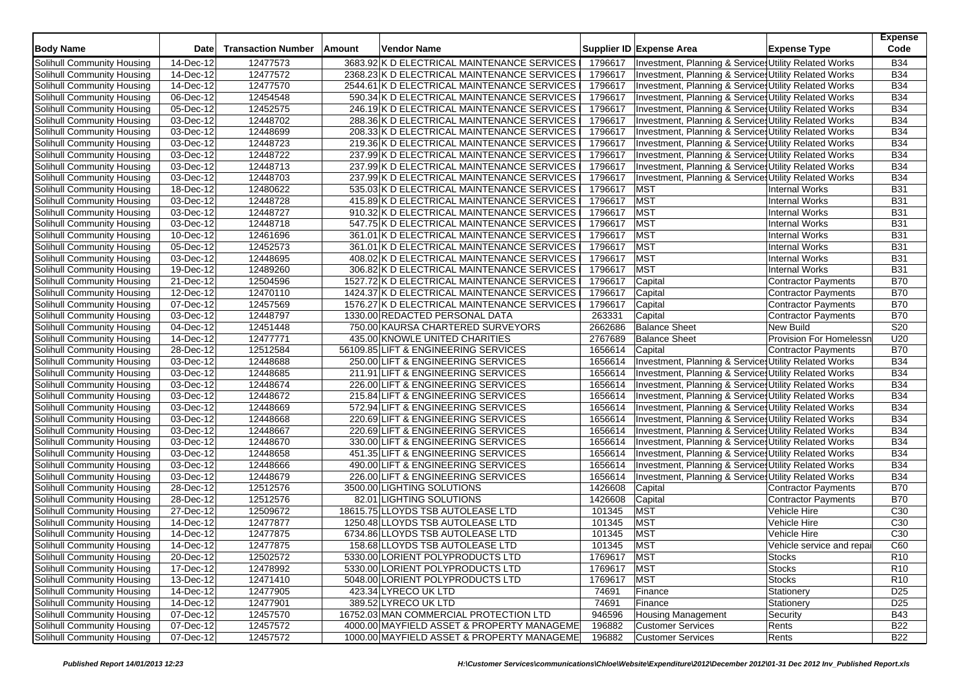| <b>Body Name</b>                  | <b>Date</b>              | <b>Transaction Number</b> | Amount | <b>Vendor Name</b>                          |               | Supplier ID Expense Area                              | <b>Expense Type</b>            | <b>Expense</b><br>Code |
|-----------------------------------|--------------------------|---------------------------|--------|---------------------------------------------|---------------|-------------------------------------------------------|--------------------------------|------------------------|
| Solihull Community Housing        | 14-Dec-12                | 12477573                  |        | 3683.92 K D ELECTRICAL MAINTENANCE SERVICES | 1796617       | Investment, Planning & Services Utility Related Works |                                | <b>B34</b>             |
| Solihull Community Housing        | 14-Dec-12                | 12477572                  |        | 2368.23 K D ELECTRICAL MAINTENANCE SERVICES | 1796617       | Investment, Planning & Services Utility Related Works |                                | <b>B34</b>             |
| Solihull Community Housing        | 14-Dec-12                | 12477570                  |        | 2544.61 K D ELECTRICAL MAINTENANCE SERVICES | 1796617       | Investment, Planning & Services Utility Related Works |                                | <b>B34</b>             |
| Solihull Community Housing        | 06-Dec-12                | 12454548                  |        | 590.34 K D ELECTRICAL MAINTENANCE SERVICES  | 1796617       | Investment, Planning & Services Utility Related Works |                                | <b>B34</b>             |
| Solihull Community Housing        | 05-Dec-12                | 12452575                  |        | 246.19 K D ELECTRICAL MAINTENANCE SERVICES  | 1796617       | Investment, Planning & Service Utility Related Works  |                                | <b>B34</b>             |
| Solihull Community Housing        | 03-Dec-12                | 12448702                  |        | 288.36 K D ELECTRICAL MAINTENANCE SERVICES  | 1796617       | Investment, Planning & Services Utility Related Works |                                | <b>B34</b>             |
| Solihull Community Housing        | 03-Dec-12                | 12448699                  |        | 208.33 K D ELECTRICAL MAINTENANCE SERVICES  | 1796617       | Investment, Planning & Service Utility Related Works  |                                | <b>B34</b>             |
| Solihull Community Housing        | 03-Dec-12                | 12448723                  |        | 219.36 K D ELECTRICAL MAINTENANCE SERVICES  | 1796617       | Investment, Planning & Services Utility Related Works |                                | <b>B34</b>             |
| Solihull Community Housing        | 03-Dec-12                | 12448722                  |        | 237.99 K D ELECTRICAL MAINTENANCE SERVICES  | 1796617       | Investment, Planning & Services Utility Related Works |                                | <b>B34</b>             |
| Solihull Community Housing        | $\overline{03}$ -Dec-12  | 12448713                  |        | 237.99 K D ELECTRICAL MAINTENANCE SERVICES  | 1796617       | Investment, Planning & Services Utility Related Works |                                | <b>B34</b>             |
| Solihull Community Housing        | 03-Dec-12                | 12448703                  |        | 237.99 K D ELECTRICAL MAINTENANCE SERVICES  | 1796617       | Investment, Planning & Services Utility Related Works |                                | <b>B34</b>             |
| Solihull Community Housing        | 18-Dec-12                | 12480622                  |        | 535.03 K D ELECTRICAL MAINTENANCE SERVICES  | 1796617       | <b>MST</b>                                            | <b>Internal Works</b>          | <b>B31</b>             |
| Solihull Community Housing        | 03-Dec-12                | 12448728                  |        | 415.89 K D ELECTRICAL MAINTENANCE SERVICES  | 1796617       | MST                                                   | <b>Internal Works</b>          | <b>B31</b>             |
| Solihull Community Housing        | 03-Dec-12                | 12448727                  |        | 910.32 K D ELECTRICAL MAINTENANCE SERVICES  | 1796617       | <b>MST</b>                                            | <b>Internal Works</b>          | <b>B31</b>             |
| Solihull Community Housing        | 03-Dec-12                | 12448718                  |        | 547.75 K D ELECTRICAL MAINTENANCE SERVICES  | 1796617       | <b>MST</b>                                            | <b>Internal Works</b>          | <b>B31</b>             |
| Solihull Community Housing        | 10-Dec-12                | 12461696                  |        | 361.01 K D ELECTRICAL MAINTENANCE SERVICES  | 1796617       | MST                                                   | <b>Internal Works</b>          | <b>B31</b>             |
| Solihull Community Housing        | 05-Dec-12                | 12452573                  |        | 361.01 K D ELECTRICAL MAINTENANCE SERVICES  | 1796617       | MST                                                   | <b>Internal Works</b>          | <b>B31</b>             |
| Solihull Community Housing        | 03-Dec-12                | 12448695                  |        | 408.02 K D ELECTRICAL MAINTENANCE SERVICES  | 1796617       | MST                                                   | <b>Internal Works</b>          | <b>B31</b>             |
| Solihull Community Housing        | 19-Dec-12                | 12489260                  |        | 306.82 K D ELECTRICAL MAINTENANCE SERVICES  | 1796617       | <b>MST</b>                                            | <b>Internal Works</b>          | <b>B31</b>             |
| Solihull Community Housing        | 21-Dec-12                | 12504596                  |        | 1527.72 K D ELECTRICAL MAINTENANCE SERVICES | 1796617       | Capital                                               | Contractor Payments            | <b>B70</b>             |
| Solihull Community Housing        | 12-Dec-12                | 12470110                  |        | 1424.37 K D ELECTRICAL MAINTENANCE SERVICES | 1796617       | Capital                                               | <b>Contractor Payments</b>     | <b>B70</b>             |
| Solihull Community Housing        | 07-Dec-12                | 12457569                  |        | 1576.27 K D ELECTRICAL MAINTENANCE SERVICES | 1796617       | Capital                                               | <b>Contractor Payments</b>     | <b>B70</b>             |
| Solihull Community Housing        | 03-Dec-12                | 12448797                  |        | 1330.00 REDACTED PERSONAL DATA              | 263331        | Capital                                               | <b>Contractor Payments</b>     | <b>B70</b>             |
| Solihull Community Housing        | 04-Dec-12                | 12451448                  |        | 750.00 KAURSA CHARTERED SURVEYORS           | 2662686       | <b>Balance Sheet</b>                                  | <b>New Build</b>               | S20                    |
| Solihull Community Housing        | 14-Dec-12                | 12477771                  |        | 435.00 KNOWLE UNITED CHARITIES              | 2767689       | <b>Balance Sheet</b>                                  | <b>Provision For Homelessr</b> | U20                    |
| Solihull Community Housing        | 28-Dec-12                | 12512584                  |        | 56109.85 LIFT & ENGINEERING SERVICES        | 1656614       | Capital                                               | Contractor Payments            | <b>B70</b>             |
| Solihull Community Housing        | 03-Dec-12                | 12448688                  |        | 250.00 LIFT & ENGINEERING SERVICES          | 1656614       | Investment, Planning & Services Utility Related Works |                                | <b>B34</b>             |
| Solihull Community Housing        | 03-Dec-12                | 12448685                  |        | 211.91 LIFT & ENGINEERING SERVICES          | 1656614       | Investment, Planning & Services Utility Related Works |                                | <b>B34</b>             |
| Solihull Community Housing        | 03-Dec-12                | 12448674                  |        | 226.00 LIFT & ENGINEERING SERVICES          | 1656614       | Investment, Planning & Services Utility Related Works |                                | <b>B34</b>             |
| Solihull Community Housing        | $\overline{03}$ -Dec-12  | 12448672                  |        | 215.84 LIFT & ENGINEERING SERVICES          | 1656614       | Investment, Planning & Services Utility Related Works |                                | <b>B34</b>             |
| Solihull Community Housing        | $\overline{03}$ -Dec-12  | 12448669                  |        | 572.94 LIFT & ENGINEERING SERVICES          | 1656614       | Investment, Planning & Services Utility Related Works |                                | <b>B34</b>             |
| Solihull Community Housing        | 03-Dec-12                | 12448668                  |        | 220.69 LIFT & ENGINEERING SERVICES          | 1656614       | Investment, Planning & Services Utility Related Works |                                | <b>B34</b>             |
| Solihull Community Housing        | 03-Dec-12                | 12448667                  |        | 220.69 LIFT & ENGINEERING SERVICES          | 1656614       | Investment, Planning & Service Utility Related Works  |                                | <b>B34</b>             |
| Solihull Community Housing        | 03-Dec-12                | 12448670                  |        | 330.00 LIFT & ENGINEERING SERVICES          | 1656614       | Investment, Planning & Services Utility Related Works |                                | <b>B34</b>             |
| Solihull Community Housing        | 03-Dec-12                | 12448658                  |        | 451.35 LIFT & ENGINEERING SERVICES          | 1656614       | Investment, Planning & Services Utility Related Works |                                | <b>B34</b>             |
| <b>Solihull Community Housing</b> | $03$ -Dec-12             | 12448666                  |        | 490.00 LIFT & ENGINEERING SERVICES          | 1656614       | Investment, Planning & Services Utility Related Works |                                | <b>B34</b>             |
| Solihull Community Housing        | 03-Dec-12                | 12448679                  |        | 226.00 LIFT & ENGINEERING SERVICES          | 1656614       | Investment, Planning & Services Utility Related Works |                                | <b>B34</b>             |
| Solihull Community Housing        | 28-Dec-12                | 12512576                  |        | 3500.00 LIGHTING SOLUTIONS                  | 1426608       | Capital                                               | Contractor Payments            | <b>B70</b>             |
| Solihull Community Housing        | 28-Dec-12                | 12512576                  |        | 82.01 LIGHTING SOLUTIONS                    | 1426608       | Capital                                               | Contractor Payments            | <b>B70</b>             |
| Solihull Community Housing        | 27-Dec-12                | 12509672                  |        | 18615.75 LLOYDS TSB AUTOLEASE LTD           | 101345        | <b>MST</b>                                            | Vehicle Hire                   | C <sub>30</sub>        |
| Solihull Community Housing        | 14-Dec-12                | 12477877                  |        | 1250.48 LLOYDS TSB AUTOLEASE LTD            | 101345        | <b>MST</b>                                            | Vehicle Hire                   | C <sub>30</sub>        |
| Solihull Community Housing        | 14-Dec-12                | 12477875                  |        | 6734.86 LLOYDS TSB AUTOLEASE LTD            | 101345        | <b>MST</b>                                            | Vehicle Hire                   | C <sub>30</sub>        |
| Solihull Community Housing        | 14-Dec-12                | 12477875                  |        | 158.68 LLOYDS TSB AUTOLEASE LTD             | 101345        | <b>MST</b>                                            | Vehicle service and repai      | C60                    |
| Solihull Community Housing        | 20-Dec-12                | 12502572                  |        | 5330.00 LORIENT POLYPRODUCTS LTD            | 1769617   MST |                                                       | <b>Stocks</b>                  | R <sub>10</sub>        |
| Solihull Community Housing        | 17-Dec-12                | 12478992                  |        | 5330.00 LORIENT POLYPRODUCTS LTD            | 1769617       | <b>MST</b>                                            | <b>Stocks</b>                  | R <sub>10</sub>        |
| Solihull Community Housing        | 13-Dec-12                | 12471410                  |        | 5048.00 LORIENT POLYPRODUCTS LTD            | 1769617       | <b>MST</b>                                            | <b>Stocks</b>                  | R <sub>10</sub>        |
| Solihull Community Housing        | 14-Dec-12                | 12477905                  |        | 423.34 LYRECO UK LTD                        | 74691         | Finance                                               | Stationery                     | D <sub>25</sub>        |
| Solihull Community Housing        | 14-Dec-12                | 12477901                  |        | 389.52 LYRECO UK LTD                        | 74691         | Finance                                               | Stationery                     | D <sub>25</sub>        |
| Solihull Community Housing        | $\overline{07 - Dec-12}$ | 12457570                  |        | 16752.03 MAN COMMERCIAL PROTECTION LTD      | 946596        | <b>Housing Management</b>                             | Security                       | <b>B43</b>             |
| Solihull Community Housing        | 07-Dec-12                | 12457572                  |        | 4000.00 MAYFIELD ASSET & PROPERTY MANAGEME  | 196882        | <b>Customer Services</b>                              | Rents                          | <b>B22</b>             |
| Solihull Community Housing        | 07-Dec-12                | 12457572                  |        | 1000.00 MAYFIELD ASSET & PROPERTY MANAGEME  | 196882        | Customer Services                                     | Rents                          | <b>B22</b>             |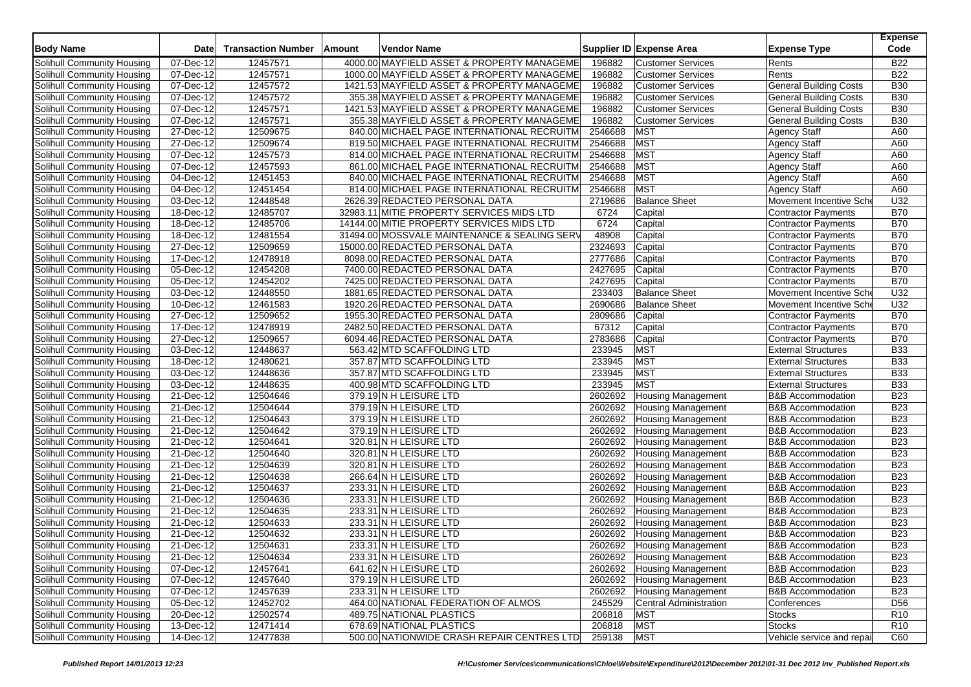| <b>Body Name</b>                  | <b>Date</b>              | <b>Transaction Number</b> | Amount | Vendor Name                                  |         | Supplier ID Expense Area      | <b>Expense Type</b>           | <b>Expense</b><br>Code |
|-----------------------------------|--------------------------|---------------------------|--------|----------------------------------------------|---------|-------------------------------|-------------------------------|------------------------|
| Solihull Community Housing        | 07-Dec-12                | 12457571                  |        | 4000.00 MAYFIELD ASSET & PROPERTY MANAGEME   | 196882  | <b>Customer Services</b>      | Rents                         | <b>B22</b>             |
| Solihull Community Housing        | 07-Dec-12                | 12457571                  |        | 1000.00 MAYFIELD ASSET & PROPERTY MANAGEME   | 196882  | <b>Customer Services</b>      | Rents                         | <b>B22</b>             |
| Solihull Community Housing        | 07-Dec-12                | 12457572                  |        | 1421.53 MAYFIELD ASSET & PROPERTY MANAGEME   | 196882  | <b>Customer Services</b>      | <b>General Building Costs</b> | <b>B30</b>             |
| Solihull Community Housing        | $\overline{07}$ -Dec-12  | 12457572                  |        | 355.38 MAYFIELD ASSET & PROPERTY MANAGEME    | 196882  | <b>Customer Services</b>      | <b>General Building Costs</b> | <b>B30</b>             |
| Solihull Community Housing        | $\overline{07}$ -Dec-12  | 12457571                  |        | 1421.53 MAYFIELD ASSET & PROPERTY MANAGEME   | 196882  | <b>Customer Services</b>      | <b>General Building Costs</b> | <b>B30</b>             |
| Solihull Community Housing        | 07-Dec-12                | 12457571                  |        | 355.38 MAYFIELD ASSET & PROPERTY MANAGEME    | 196882  | <b>Customer Services</b>      | <b>General Building Costs</b> | <b>B30</b>             |
| Solihull Community Housing        | $\overline{27}$ -Dec-12  | 12509675                  |        | 840.00 MICHAEL PAGE INTERNATIONAL RECRUITM   | 2546688 | <b>MST</b>                    | <b>Agency Staff</b>           | A60                    |
| Solihull Community Housing        | 27-Dec-12                | 12509674                  |        | 819.50 MICHAEL PAGE INTERNATIONAL RECRUITM   | 2546688 | <b>MST</b>                    | <b>Agency Staff</b>           | A60                    |
| Solihull Community Housing        | 07-Dec-12                | 12457573                  |        | 814.00 MICHAEL PAGE INTERNATIONAL RECRUITM   | 2546688 | <b>MST</b>                    | <b>Agency Staff</b>           | A60                    |
| Solihull Community Housing        | 07-Dec-12                | 12457593                  |        | 861.00 MICHAEL PAGE INTERNATIONAL RECRUITM   | 2546688 | <b>MST</b>                    | <b>Agency Staff</b>           | A60                    |
| Solihull Community Housing        | 04-Dec-12                | 12451453                  |        | 840.00 MICHAEL PAGE INTERNATIONAL RECRUITM   | 2546688 | <b>MST</b>                    | <b>Agency Staff</b>           | A60                    |
| Solihull Community Housing        | $\overline{04 - Dec-12}$ | 12451454                  |        | 814.00 MICHAEL PAGE INTERNATIONAL RECRUITM   | 2546688 | <b>MST</b>                    | <b>Agency Staff</b>           | A60                    |
| Solihull Community Housing        | 03-Dec-12                | 12448548                  |        | 2626.39 REDACTED PERSONAL DATA               | 2719686 | <b>Balance Sheet</b>          | Movement Incentive Sch        | U32                    |
| Solihull Community Housing        | 18-Dec-12                | 12485707                  |        | 32983.11 MITIE PROPERTY SERVICES MIDS LTD    | 6724    | Capital                       | Contractor Payments           | <b>B70</b>             |
| Solihull Community Housing        | 18-Dec-12                | 12485706                  |        | 14144.00 MITIE PROPERTY SERVICES MIDS LTD    | 6724    | Capital                       | Contractor Payments           | <b>B70</b>             |
| Solihull Community Housing        | $18$ -Dec-12             | 12481554                  |        | 31494.00 MOSSVALE MAINTENANCE & SEALING SERV | 48908   | Capital                       | Contractor Payments           | <b>B70</b>             |
| Solihull Community Housing        | 27-Dec-12                | 12509659                  |        | 15000.00 REDACTED PERSONAL DATA              | 2324693 | Capital                       | <b>Contractor Payments</b>    | <b>B70</b>             |
| Solihull Community Housing        | 17-Dec-12                | 12478918                  |        | 8098.00 REDACTED PERSONAL DATA               | 2777686 | Capital                       | <b>Contractor Payments</b>    | <b>B70</b>             |
| Solihull Community Housing        | 05-Dec-12                | 12454208                  |        | 7400.00 REDACTED PERSONAL DATA               | 2427695 | Capital                       | Contractor Payments           | <b>B70</b>             |
| Solihull Community Housing        | 05-Dec-12                | 12454202                  |        | 7425.00 REDACTED PERSONAL DATA               | 2427695 | Capital                       | Contractor Payments           | <b>B70</b>             |
| Solihull Community Housing        | 03-Dec-12                | 12448550                  |        | 1881.65 REDACTED PERSONAL DATA               | 233403  | <b>Balance Sheet</b>          | Movement Incentive Sch        | U32                    |
| Solihull Community Housing        | 10-Dec-12                | 12461583                  |        | 1920.26 REDACTED PERSONAL DATA               | 2690686 | <b>Balance Sheet</b>          | Movement Incentive Sche       | U32                    |
| Solihull Community Housing        | 27-Dec-12                | 12509652                  |        | 1955.30 REDACTED PERSONAL DATA               | 2809686 | Capital                       | Contractor Payments           | <b>B70</b>             |
| Solihull Community Housing        | $\overline{17}$ -Dec-12  | 12478919                  |        | 2482.50 REDACTED PERSONAL DATA               | 67312   | Capital                       | <b>Contractor Payments</b>    | <b>B70</b>             |
| Solihull Community Housing        | 27-Dec-12                | 12509657                  |        | 6094.46 REDACTED PERSONAL DATA               | 2783686 | Capital                       | Contractor Payments           | <b>B70</b>             |
| Solihull Community Housing        | 03-Dec-12                | 12448637                  |        | 563.42 MTD SCAFFOLDING LTD                   | 233945  | <b>MST</b>                    | <b>External Structures</b>    | <b>B33</b>             |
| Solihull Community Housing        | 18-Dec-12                | 12480621                  |        | 357.87 MTD SCAFFOLDING LTD                   | 233945  | <b>MST</b>                    | <b>External Structures</b>    | <b>B33</b>             |
| Solihull Community Housing        | 03-Dec-12                | 12448636                  |        | 357.87 MTD SCAFFOLDING LTD                   | 233945  | <b>MST</b>                    | <b>External Structures</b>    | <b>B33</b>             |
| Solihull Community Housing        | 03-Dec-12                | 12448635                  |        | 400.98 MTD SCAFFOLDING LTD                   | 233945  | <b>MST</b>                    | <b>External Structures</b>    | <b>B33</b>             |
| Solihull Community Housing        | 21-Dec-12                | 12504646                  |        | 379.19 N H LEISURE LTD                       | 2602692 | <b>Housing Management</b>     | <b>B&amp;B Accommodation</b>  | <b>B23</b>             |
| Solihull Community Housing        | 21-Dec-12                | 12504644                  |        | 379.19 N H LEISURE LTD                       | 2602692 | <b>Housing Management</b>     | <b>B&amp;B Accommodation</b>  | <b>B23</b>             |
| Solihull Community Housing        | 21-Dec-12                | 12504643                  |        | 379.19 N H LEISURE LTD                       | 2602692 | <b>Housing Management</b>     | <b>B&amp;B Accommodation</b>  | <b>B23</b>             |
| Solihull Community Housing        | 21-Dec-12                | 12504642                  |        | 379.19 N H LEISURE LTD                       | 2602692 | <b>Housing Management</b>     | <b>B&amp;B Accommodation</b>  | <b>B23</b>             |
| Solihull Community Housing        | 21-Dec-12                | 12504641                  |        | 320.81 N H LEISURE LTD                       | 2602692 | <b>Housing Management</b>     | <b>B&amp;B Accommodation</b>  | <b>B23</b>             |
| Solihull Community Housing        | 21-Dec-12                | 12504640                  |        | 320.81 N H LEISURE LTD                       | 2602692 | <b>Housing Management</b>     | <b>B&amp;B Accommodation</b>  | <b>B23</b>             |
| Solihull Community Housing        | 21-Dec-12                | 12504639                  |        | 320.81 N H LEISURE LTD                       | 2602692 | <b>Housing Management</b>     | <b>B&amp;B Accommodation</b>  | <b>B23</b>             |
| Solihull Community Housing        | 21-Dec-12                | 12504638                  |        | 266.64 N H LEISURE LTD                       | 2602692 | <b>Housing Management</b>     | <b>B&amp;B Accommodation</b>  | <b>B23</b>             |
| Solihull Community Housing        | 21-Dec-12                | 12504637                  |        | 233.31 N H LEISURE LTD                       | 2602692 | <b>Housing Management</b>     | <b>B&amp;B Accommodation</b>  | <b>B23</b>             |
| Solihull Community Housing        | 21-Dec-12                | 12504636                  |        | 233.31 N H LEISURE LTD                       | 2602692 | <b>Housing Management</b>     | <b>B&amp;B Accommodation</b>  | <b>B23</b>             |
| Solihull Community Housing        | 21-Dec-12                | 12504635                  |        | 233.31 N H LEISURE LTD                       | 2602692 | <b>Housing Management</b>     | <b>B&amp;B Accommodation</b>  | <b>B23</b>             |
| Solihull Community Housing        | 21-Dec-12                | 12504633                  |        | 233.31 N H LEISURE LTD                       | 2602692 | <b>Housing Management</b>     | <b>B&amp;B Accommodation</b>  | <b>B23</b>             |
| Solihull Community Housing        | 21-Dec-12                | 12504632                  |        | 233.31 N H LEISURE LTD                       | 2602692 | <b>Housing Management</b>     | <b>B&amp;B Accommodation</b>  | <b>B23</b>             |
| Solihull Community Housing        | 21-Dec-12                | 12504631                  |        | 233.31 N H LEISURE LTD                       | 2602692 | <b>Housing Management</b>     | <b>B&amp;B Accommodation</b>  | <b>B23</b>             |
| Solihull Community Housing        | 21-Dec-12                | 12504634                  |        | 233.31 N H LEISURE LTD                       | 2602692 | Housing Management            | <b>B&amp;B Accommodation</b>  | <b>B23</b>             |
| Solihull Community Housing        | $\overline{07 - Dec-12}$ | 12457641                  |        | 641.62 N H LEISURE LTD                       | 2602692 | <b>Housing Management</b>     | <b>B&amp;B</b> Accommodation  | <b>B23</b>             |
| Solihull Community Housing        | 07-Dec-12                | 12457640                  |        | 379.19 N H LEISURE LTD                       | 2602692 | <b>Housing Management</b>     | <b>B&amp;B Accommodation</b>  | <b>B23</b>             |
| Solihull Community Housing        | 07-Dec-12                | 12457639                  |        | 233.31 N H LEISURE LTD                       | 2602692 | <b>Housing Management</b>     | <b>B&amp;B Accommodation</b>  | <b>B23</b>             |
| Solihull Community Housing        | 05-Dec-12                | 12452702                  |        | 464.00 NATIONAL FEDERATION OF ALMOS          | 245529  | <b>Central Administration</b> | Conferences                   | D <sub>56</sub>        |
| Solihull Community Housing        | 20-Dec-12                | 12502574                  |        | 489.75 NATIONAL PLASTICS                     | 206818  | <b>MST</b>                    | <b>Stocks</b>                 | R <sub>10</sub>        |
| <b>Solihull Community Housing</b> | 13-Dec-12                | 12471414                  |        | 678.69 NATIONAL PLASTICS                     | 206818  | <b>MST</b>                    | <b>Stocks</b>                 | R <sub>10</sub>        |
| Solihull Community Housing        | 14-Dec-12                | 12477838                  |        | 500.00 NATIONWIDE CRASH REPAIR CENTRES LTD   | 259138  | <b>MST</b>                    | Vehicle service and repai     | C60                    |
|                                   |                          |                           |        |                                              |         |                               |                               |                        |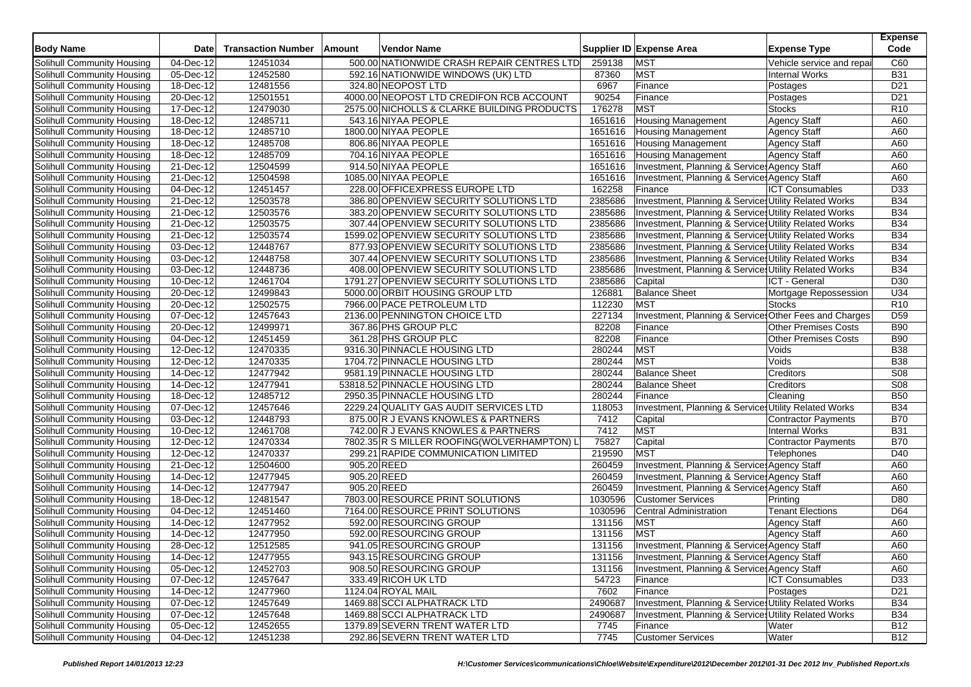| <b>Body Name</b>                                         | <b>Date</b>              | <b>Transaction Number</b> | Amount      | <b>Vendor Name</b>                          |         | Supplier ID Expense Area                               | <b>Expense Type</b>         | <b>Expense</b><br>Code |
|----------------------------------------------------------|--------------------------|---------------------------|-------------|---------------------------------------------|---------|--------------------------------------------------------|-----------------------------|------------------------|
| Solihull Community Housing                               | 04-Dec-12                | 12451034                  |             | 500.00 NATIONWIDE CRASH REPAIR CENTRES LTD  | 259138  | <b>MST</b>                                             | Vehicle service and repai   | C60                    |
| Solihull Community Housing                               | 05-Dec-12                | 12452580                  |             | 592.16 NATIONWIDE WINDOWS (UK) LTD          | 87360   | <b>MST</b>                                             | <b>Internal Works</b>       | <b>B31</b>             |
| Solihull Community Housing                               | 18-Dec-12                | 12481556                  |             | 324.80 NEOPOST LTD                          | 6967    | Finance                                                | Postages                    | D <sub>21</sub>        |
| Solihull Community Housing                               | $\overline{20}$ -Dec-12  | 12501551                  |             | 4000.00 NEOPOST LTD CREDIFON RCB ACCOUNT    | 90254   | Finance                                                | Postages                    | D <sub>21</sub>        |
| Solihull Community Housing                               | 17-Dec-12                | 12479030                  |             | 2575.00 NICHOLLS & CLARKE BUILDING PRODUCTS | 176278  | <b>MST</b>                                             | <b>Stocks</b>               | R <sub>10</sub>        |
| Solihull Community Housing                               | $18 - Dec-12$            | 12485711                  |             | 543.16 NIYAA PEOPLE                         | 1651616 | <b>Housing Management</b>                              | <b>Agency Staff</b>         | A60                    |
| Solihull Community Housing                               | 18-Dec-12                | 12485710                  |             | 1800.00 NIYAA PEOPLE                        | 1651616 | <b>Housing Management</b>                              | <b>Agency Staff</b>         | A60                    |
| Solihull Community Housing                               | 18-Dec-12                | 12485708                  |             | 806.86 NIYAA PEOPLE                         | 1651616 | <b>Housing Management</b>                              | <b>Agency Staff</b>         | A60                    |
| Solihull Community Housing                               | 18-Dec-12                | 12485709                  |             | 704.16 NIYAA PEOPLE                         | 1651616 | <b>Housing Management</b>                              | Agency Staff                | A60                    |
| Solihull Community Housing                               | 21-Dec-12                | 12504599                  |             | 914.50 NIYAA PEOPLE                         | 1651616 | Investment, Planning & Services Agency Staff           |                             | A60                    |
| Solihull Community Housing                               | 21-Dec-12                | 12504598                  |             | 1085.00 NIYAA PEOPLE                        | 1651616 | Investment, Planning & Services Agency Staff           |                             | A60                    |
| Solihull Community Housing                               | 04-Dec-12                | 12451457                  |             | 228.00 OFFICEXPRESS EUROPE LTD              | 162258  | Finance                                                | <b>ICT Consumables</b>      | D33                    |
| Solihull Community Housing                               | 21-Dec-12                | 12503578                  |             | 386.80 OPENVIEW SECURITY SOLUTIONS LTD      | 2385686 | Investment, Planning & Services Utility Related Works  |                             | <b>B34</b>             |
| Solihull Community Housing                               | 21-Dec-12                | 12503576                  |             | 383.20 OPENVIEW SECURITY SOLUTIONS LTD      | 2385686 | Investment, Planning & Services Utility Related Works  |                             | <b>B34</b>             |
| Solihull Community Housing                               | 21-Dec-12                | 12503575                  |             | 307.44 OPENVIEW SECURITY SOLUTIONS LTD      | 2385686 | Investment, Planning & Services Utility Related Works  |                             | <b>B34</b>             |
| Solihull Community Housing                               | 21-Dec-12                | 12503574                  |             | 1599.02 OPENVIEW SECURITY SOLUTIONS LTD     | 2385686 | Investment, Planning & Services Utility Related Works  |                             | <b>B34</b>             |
| Solihull Community Housing                               | 03-Dec-12                | 12448767                  |             | 877.93 OPENVIEW SECURITY SOLUTIONS LTD      | 2385686 | Investment, Planning & Services Utility Related Works  |                             | <b>B34</b>             |
| Solihull Community Housing                               | 03-Dec-12                | 12448758                  |             | 307.44 OPENVIEW SECURITY SOLUTIONS LTD      | 2385686 | Investment, Planning & Services Utility Related Works  |                             | <b>B34</b>             |
|                                                          | 03-Dec-12                | 12448736                  |             | 408.00 OPENVIEW SECURITY SOLUTIONS LTD      | 2385686 | Investment, Planning & Services Utility Related Works  |                             | <b>B34</b>             |
| Solihull Community Housing<br>Solihull Community Housing | 10-Dec-12                | 12461704                  |             | 1791.27 OPENVIEW SECURITY SOLUTIONS LTD     | 2385686 |                                                        | ICT - General               | D30                    |
|                                                          | 20-Dec-12                |                           |             |                                             | 126881  | Capital<br><b>Balance Sheet</b>                        |                             | U34                    |
| Solihull Community Housing                               |                          | 12499843                  |             | 5000.00 ORBIT HOUSING GROUP LTD             |         | <b>MST</b>                                             | Mortgage Repossession       |                        |
| Solihull Community Housing                               | 20-Dec-12                | 12502575                  |             | 7966.00 PACE PETROLEUM LTD                  | 112230  |                                                        | <b>Stocks</b>               | R <sub>10</sub>        |
| Solihull Community Housing                               | 07-Dec-12                | 12457643                  |             | 2136.00 PENNINGTON CHOICE LTD               | 227134  | Investment, Planning & Services Other Fees and Charges |                             | D <sub>59</sub>        |
| Solihull Community Housing                               | 20-Dec-12                | 12499971                  |             | 367.86 PHS GROUP PLC                        | 82208   | Finance                                                | <b>Other Premises Costs</b> | <b>B90</b>             |
| Solihull Community Housing                               | 04-Dec-12                | 12451459                  |             | 361.28 PHS GROUP PLC                        | 82208   | Finance                                                | Other Premises Costs        | <b>B90</b>             |
| Solihull Community Housing                               | 12-Dec-12                | 12470335                  |             | 9316.30 PINNACLE HOUSING LTD                | 280244  | <b>MST</b>                                             | Voids                       | <b>B38</b>             |
| Solihull Community Housing                               | 12-Dec-12                | 12470335                  |             | 1704.72 PINNACLE HOUSING LTD                | 280244  | <b>MST</b>                                             | Voids                       | <b>B38</b>             |
| Solihull Community Housing                               | $\overline{14}$ -Dec-12  | 12477942                  |             | 9581.19 PINNACLE HOUSING LTD                | 280244  | <b>Balance Sheet</b>                                   | Creditors                   | S08                    |
| Solihull Community Housing                               | 14-Dec-12                | 12477941                  |             | 53818.52 PINNACLE HOUSING LTD               | 280244  | <b>Balance Sheet</b>                                   | Creditors                   | S <sub>08</sub>        |
| Solihull Community Housing                               | $18 - Dec-12$            | 12485712                  |             | 2950.35 PINNACLE HOUSING LTD                | 280244  | Finance                                                | Cleaning                    | <b>B50</b>             |
| Solihull Community Housing                               | 07-Dec-12                | 12457646                  |             | 2229.24 QUALITY GAS AUDIT SERVICES LTD      | 118053  | Investment, Planning & Services Utility Related Works  |                             | <b>B34</b>             |
| Solihull Community Housing                               | 03-Dec-12                | 12448793                  |             | 875.00 R J EVANS KNOWLES & PARTNERS         | 7412    | Capital                                                | Contractor Payments         | <b>B70</b>             |
| Solihull Community Housing                               | $10 - Dec-12$            | 12461708                  |             | 742.00 R J EVANS KNOWLES & PARTNERS         | 7412    | <b>MST</b>                                             | <b>Internal Works</b>       | <b>B31</b>             |
| Solihull Community Housing                               | 12-Dec-12                | 12470334                  |             | 7802.35 R S MILLER ROOFING(WOLVERHAMPTON) L | 75827   | Capital                                                | <b>Contractor Payments</b>  | <b>B70</b>             |
| Solihull Community Housing                               | 12-Dec-12                | 12470337                  |             | 299.21 RAPIDE COMMUNICATION LIMITED         | 219590  | <b>MST</b>                                             | <b>Telephones</b>           | D40                    |
| Solihull Community Housing                               | 21-Dec-12                | 12504600                  | 905.20 REED |                                             | 260459  | Investment, Planning & Services Agency Staff           |                             | A60                    |
| Solihull Community Housing                               | 14-Dec-12                | 12477945                  | 905.20 REED |                                             | 260459  | Investment, Planning & Services Agency Staff           |                             | A60                    |
| Solihull Community Housing                               | 14-Dec-12                | 12477947                  | 905.20 REED |                                             | 260459  | Investment, Planning & Services Agency Staff           |                             | A60                    |
| Solihull Community Housing                               | 18-Dec-12                | 12481547                  |             | 7803.00 RESOURCE PRINT SOLUTIONS            | 1030596 | <b>Customer Services</b>                               | Printing                    | D80                    |
| Solihull Community Housing                               | 04-Dec-12                | 12451460                  |             | 7164.00 RESOURCE PRINT SOLUTIONS            | 1030596 | Central Administration                                 | <b>Tenant Elections</b>     | D64                    |
| Solihull Community Housing                               | 14-Dec-12                | 12477952                  |             | 592.00 RESOURCING GROUP                     | 131156  | <b>MST</b>                                             | <b>Agency Staff</b>         | A60                    |
| Solihull Community Housing                               | 14-Dec-12                | 12477950                  |             | 592.00 RESOURCING GROUP                     | 131156  | <b>MST</b>                                             | <b>Agency Staff</b>         | A60                    |
| Solihull Community Housing                               | 28-Dec-12                | 12512585                  |             | 941.05 RESOURCING GROUP                     | 131156  | Investment, Planning & Service: Agency Staff           |                             | A60                    |
| Solihull Community Housing                               | 14-Dec-12                | 12477955                  |             | 943.15 RESOURCING GROUP                     | 131156  | Investment, Planning & Service: Agency Staff           |                             | A60                    |
| Solihull Community Housing                               | 05-Dec-12                | 12452703                  |             | 908.50 RESOURCING GROUP                     | 131156  | Investment, Planning & Service: Agency Staff           |                             | A60                    |
| Solihull Community Housing                               | 07-Dec-12                | 12457647                  |             | 333.49 RICOH UK LTD                         | 54723   | Finance                                                | <b>ICT Consumables</b>      | D33                    |
| Solihull Community Housing                               | 14-Dec-12                | 12477960                  |             | 1124.04 ROYAL MAIL                          | 7602    | Finance                                                | Postages                    | D <sub>21</sub>        |
| Solihull Community Housing                               | 07-Dec-12                | 12457649                  |             | 1469.88 SCCI ALPHATRACK LTD                 | 2490687 | Investment, Planning & Services Utility Related Works  |                             | <b>B34</b>             |
| Solihull Community Housing                               | $\overline{07 - Dec-12}$ | 12457648                  |             | 1469.88 SCCI ALPHATRACK LTD                 | 2490687 | Investment, Planning & Services Utility Related Works  |                             | <b>B34</b>             |
| <b>Solihull Community Housing</b>                        | 05-Dec-12                | 12452655                  |             | 1379.89 SEVERN TRENT WATER LTD              | 7745    | Finance                                                | Water                       | <b>B12</b>             |
| Solihull Community Housing                               | 04-Dec-12                | 12451238                  |             | 292.86 SEVERN TRENT WATER LTD               | 7745    | <b>Customer Services</b>                               | Water                       | <b>B12</b>             |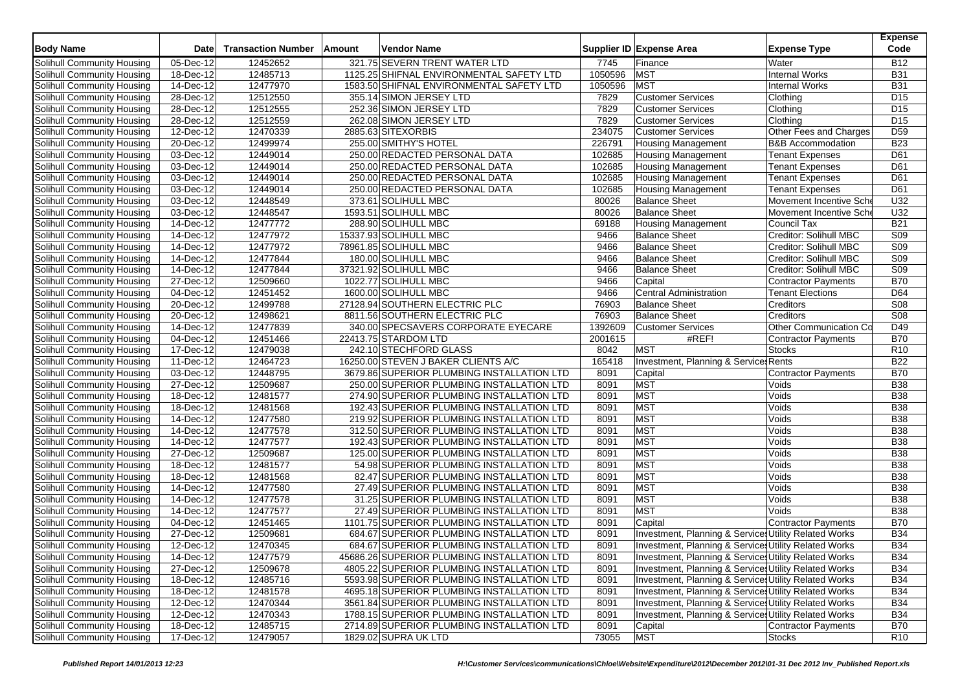| <b>Body Name</b>                  | <b>Date</b>             | <b>Transaction Number</b> | Amount | <b>Vendor Name</b>                          |         | Supplier ID Expense Area                              | <b>Expense Type</b>          | <b>Expense</b><br>Code |
|-----------------------------------|-------------------------|---------------------------|--------|---------------------------------------------|---------|-------------------------------------------------------|------------------------------|------------------------|
| Solihull Community Housing        | 05-Dec-12               | 12452652                  |        | 321.75 SEVERN TRENT WATER LTD               | 7745    | Finance                                               | Water                        | <b>B12</b>             |
| Solihull Community Housing        | 18-Dec-12               | 12485713                  |        | 1125.25 SHIFNAL ENVIRONMENTAL SAFETY LTD    | 1050596 | MST                                                   | Internal Works               | <b>B31</b>             |
| Solihull Community Housing        | 14-Dec-12               | 12477970                  |        | 1583.50 SHIFNAL ENVIRONMENTAL SAFETY LTD    | 1050596 | MST                                                   | <b>Internal Works</b>        | <b>B31</b>             |
| Solihull Community Housing        | 28-Dec-12               | 12512550                  |        | 355.14 SIMON JERSEY LTD                     | 7829    | <b>Customer Services</b>                              | Clothing                     | D <sub>15</sub>        |
| Solihull Community Housing        | 28-Dec-12               | 12512555                  |        | 252.36 SIMON JERSEY LTD                     | 7829    | <b>Customer Services</b>                              | Clothing                     | D <sub>15</sub>        |
| Solihull Community Housing        | 28-Dec-12               | 12512559                  |        | 262.08 SIMON JERSEY LTD                     | 7829    | <b>Customer Services</b>                              | Clothing                     | D <sub>15</sub>        |
| Solihull Community Housing        | 12-Dec-12               | 12470339                  |        | 2885.63 SITEXORBIS                          | 234075  | <b>Customer Services</b>                              | Other Fees and Charges       | D <sub>59</sub>        |
| Solihull Community Housing        | 20-Dec-12               | 12499974                  |        | 255.00 SMITHY'S HOTEL                       | 226791  | <b>Housing Management</b>                             | <b>B&amp;B Accommodation</b> | <b>B23</b>             |
| Solihull Community Housing        | 03-Dec-12               | 12449014                  |        | 250.00 REDACTED PERSONAL DATA               | 102685  | <b>Housing Management</b>                             | <b>Tenant Expenses</b>       | D61                    |
| Solihull Community Housing        | 03-Dec-12               | 12449014                  |        | 250.00 REDACTED PERSONAL DATA               | 102685  | <b>Housing Management</b>                             | <b>Tenant Expenses</b>       | D61                    |
| Solihull Community Housing        | 03-Dec-12               | 12449014                  |        | 250.00 REDACTED PERSONAL DATA               | 102685  | <b>Housing Management</b>                             | <b>Tenant Expenses</b>       | D61                    |
| Solihull Community Housing        | 03-Dec-12               | 12449014                  |        | 250.00 REDACTED PERSONAL DATA               | 102685  | <b>Housing Management</b>                             | <b>Tenant Expenses</b>       | D61                    |
| Solihull Community Housing        | 03-Dec-12               | 12448549                  |        | 373.61 SOLIHULL MBC                         | 80026   | <b>Balance Sheet</b>                                  | Movement Incentive Sch       | U32                    |
| Solihull Community Housing        | 03-Dec-12               | 12448547                  |        | 1593.51 SOLIHULL MBC                        | 80026   | <b>Balance Sheet</b>                                  | Movement Incentive Sch       | U32                    |
| Solihull Community Housing        | 14-Dec-12               | 12477772                  |        | 288.90 SOLIHULL MBC                         | 69188   | <b>Housing Management</b>                             | Council Tax                  | <b>B21</b>             |
| Solihull Community Housing        | $\overline{14}$ -Dec-12 | 12477972                  |        | 15337.93 SOLIHULL MBC                       | 9466    | <b>Balance Sheet</b>                                  | Creditor: Solihull MBC       | S <sub>09</sub>        |
| Solihull Community Housing        | 14-Dec-12               | 12477972                  |        | 78961.85 SOLIHULL MBC                       | 9466    | <b>Balance Sheet</b>                                  | Creditor: Solihull MBC       | <b>S09</b>             |
| Solihull Community Housing        | 14-Dec-12               | 12477844                  |        | 180.00 SOLIHULL MBC                         | 9466    | <b>Balance Sheet</b>                                  | Creditor: Solihull MBC       | S09                    |
| Solihull Community Housing        | 14-Dec-12               | 12477844                  |        | 37321.92 SOLIHULL MBC                       | 9466    | <b>Balance Sheet</b>                                  | Creditor: Solihull MBC       | S <sub>09</sub>        |
| Solihull Community Housing        | 27-Dec-12               | 12509660                  |        | 1022.77 SOLIHULL MBC                        | 9466    | Capital                                               | <b>Contractor Payments</b>   | <b>B70</b>             |
| Solihull Community Housing        | 04-Dec-12               | 12451452                  |        | 1600.00 SOLIHULL MBC                        | 9466    | <b>Central Administration</b>                         | <b>Tenant Elections</b>      | D64                    |
| <b>Solihull Community Housing</b> | 20-Dec-12               | 12499788                  |        | 27128.94 SOUTHERN ELECTRIC PLC              | 76903   | <b>Balance Sheet</b>                                  | Creditors                    | S <sub>08</sub>        |
| Solihull Community Housing        | 20-Dec-12               | 12498621                  |        | 8811.56 SOUTHERN ELECTRIC PLC               | 76903   | <b>Balance Sheet</b>                                  | Creditors                    | <b>S08</b>             |
| Solihull Community Housing        | 14-Dec-12               | 12477839                  |        | 340.00 SPECSAVERS CORPORATE EYECARE         | 1392609 | <b>Customer Services</b>                              | Other Communication Co       | D49                    |
| Solihull Community Housing        | 04-Dec-12               | 12451466                  |        | 22413.75 STARDOM LTD                        | 2001615 | #REF!                                                 | <b>Contractor Payments</b>   | <b>B70</b>             |
| Solihull Community Housing        | 17-Dec-12               | 12479038                  |        | 242.10 STECHFORD GLASS                      | 8042    | <b>MST</b>                                            | <b>Stocks</b>                | R <sub>10</sub>        |
| Solihull Community Housing        | 11-Dec-12               | 12464723                  |        | 16250.00 STEVEN J BAKER CLIENTS A/C         | 165418  | Investment, Planning & Services Rents                 |                              | <b>B22</b>             |
| Solihull Community Housing        | 03-Dec-12               | 12448795                  |        | 3679.86 SUPERIOR PLUMBING INSTALLATION LTD  | 8091    | Capital                                               | <b>Contractor Payments</b>   | <b>B70</b>             |
| Solihull Community Housing        | 27-Dec-12               | 12509687                  |        | 250.00 SUPERIOR PLUMBING INSTALLATION LTD   | 8091    | <b>MST</b>                                            | Voids                        | <b>B38</b>             |
| Solihull Community Housing        | 18-Dec-12               | 12481577                  |        | 274.90 SUPERIOR PLUMBING INSTALLATION LTD   | 8091    | <b>MST</b>                                            | Voids                        | <b>B38</b>             |
| Solihull Community Housing        | 18-Dec-12               | 12481568                  |        | 192.43 SUPERIOR PLUMBING INSTALLATION LTD   | 8091    | <b>MST</b>                                            | Voids                        | <b>B</b> 38            |
| Solihull Community Housing        | 14-Dec-12               | 12477580                  |        | 219.92 SUPERIOR PLUMBING INSTALLATION LTD   | 8091    | <b>MST</b>                                            | Voids                        | <b>B38</b>             |
| Solihull Community Housing        | 14-Dec-12               | 12477578                  |        | 312.50 SUPERIOR PLUMBING INSTALLATION LTD   | 8091    | <b>MST</b>                                            | Voids                        | <b>B38</b>             |
| Solihull Community Housing        | 14-Dec-12               | 12477577                  |        | 192.43 SUPERIOR PLUMBING INSTALLATION LTD   | 8091    | <b>MST</b>                                            | Voids                        | <b>B38</b>             |
| Solihull Community Housing        | 27-Dec-12               | 12509687                  |        | 125.00 SUPERIOR PLUMBING INSTALLATION LTD   | 8091    | <b>MST</b>                                            | Voids                        | <b>B38</b>             |
| Solihull Community Housing        | 18-Dec-12               | 12481577                  |        | 54.98 SUPERIOR PLUMBING INSTALLATION LTD    | 8091    | <b>MST</b>                                            | Voids                        | <b>B</b> 38            |
| Solihull Community Housing        | 18-Dec-12               | 12481568                  |        | 82.47 SUPERIOR PLUMBING INSTALLATION LTD    | 8091    | <b>MST</b>                                            | Voids                        | <b>B38</b>             |
| Solihull Community Housing        | 14-Dec-12               | 12477580                  |        | 27.49 SUPERIOR PLUMBING INSTALLATION LTD    | 8091    | <b>MST</b>                                            | Voids                        | <b>B38</b>             |
| Solihull Community Housing        | 14-Dec-12               | 12477578                  |        | 31.25 SUPERIOR PLUMBING INSTALLATION LTD    | 8091    | <b>MST</b>                                            | Voids                        | <b>B38</b>             |
| Solihull Community Housing        | 14-Dec-12               | 12477577                  |        | 27.49 SUPERIOR PLUMBING INSTALLATION LTD    | 8091    | <b>MST</b>                                            | Voids                        | <b>B38</b>             |
| Solihull Community Housing        | 04-Dec-12               | 12451465                  |        | 1101.75 SUPERIOR PLUMBING INSTALLATION LTD  | 8091    | Capital                                               | Contractor Payments          | <b>B70</b>             |
| Solihull Community Housing        | 27-Dec-12               | 12509681                  |        | 684.67 SUPERIOR PLUMBING INSTALLATION LTD   | 8091    | Investment, Planning & Services Utility Related Works |                              | <b>B34</b>             |
| Solihull Community Housing        | 12-Dec-12               | 12470345                  |        | 684.67 SUPERIOR PLUMBING INSTALLATION LTD   | 8091    | Investment, Planning & Services Utility Related Works |                              | <b>B34</b>             |
| Solihull Community Housing        | 14-Dec-12               | 12477579                  |        | 45686.26 SUPERIOR PLUMBING INSTALLATION LTD | 8091    | Investment, Planning & Services Utility Related Works |                              | <b>B34</b>             |
| Solihull Community Housing        | 27-Dec-12               | 12509678                  |        | 4805.22 SUPERIOR PLUMBING INSTALLATION LTD  | 8091    | Investment, Planning & Services Utility Related Works |                              | <b>B34</b>             |
| Solihull Community Housing        | 18-Dec-12               | 12485716                  |        | 5593.98 SUPERIOR PLUMBING INSTALLATION LTD  | 8091    | Investment, Planning & Services Utility Related Works |                              | <b>B34</b>             |
| Solihull Community Housing        | 18-Dec-12               | 12481578                  |        | 4695.18 SUPERIOR PLUMBING INSTALLATION LTD  | 8091    | Investment, Planning & Services Utility Related Works |                              | <b>B34</b>             |
| Solihull Community Housing        | 12-Dec-12               | 12470344                  |        | 3561.84 SUPERIOR PLUMBING INSTALLATION LTD  | 8091    | Investment, Planning & Services Utility Related Works |                              | <b>B34</b>             |
| Solihull Community Housing        | 12-Dec-12               | 12470343                  |        | 1788.15 SUPERIOR PLUMBING INSTALLATION LTD  | 8091    | Investment, Planning & Services Utility Related Works |                              | <b>B34</b>             |
| <b>Solihull Community Housing</b> | 18-Dec-12               | 12485715                  |        | 2714.89 SUPERIOR PLUMBING INSTALLATION LTD  | 8091    | Capital                                               | Contractor Payments          | <b>B70</b>             |
| Solihull Community Housing        | 17-Dec-12               | 12479057                  |        | 1829.02 SUPRA UK LTD                        | 73055   | <b>MST</b>                                            | <b>Stocks</b>                | R <sub>10</sub>        |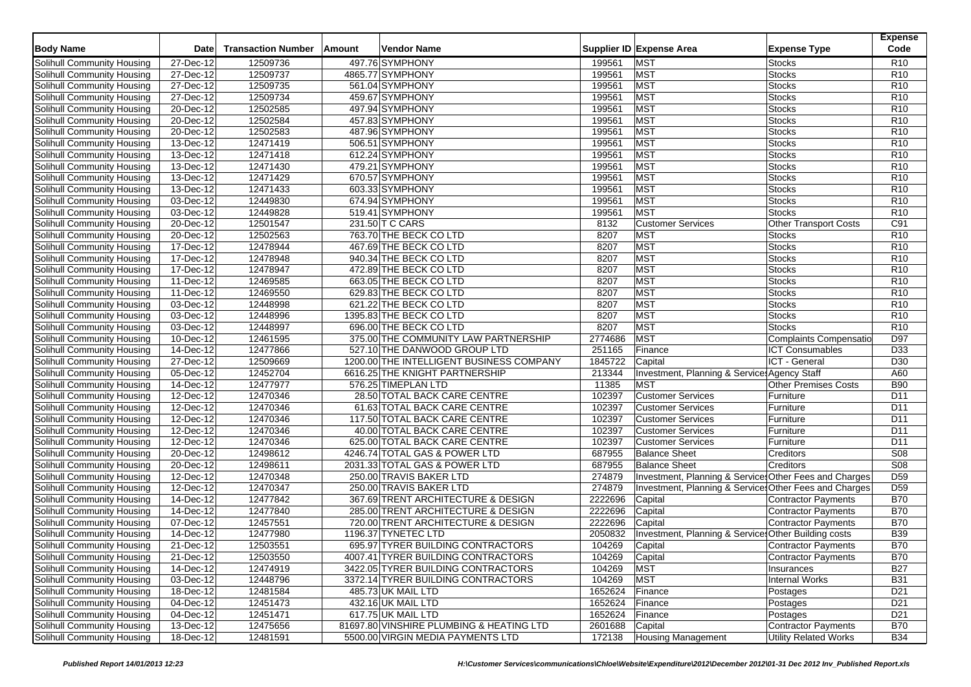| <b>Body Name</b>                  | <b>Date</b>   | <b>Transaction Number</b> | Amount | <b>Vendor Name</b>                       |                 | Supplier ID Expense Area                               | <b>Expense Type</b>           | <b>Expense</b><br>Code |
|-----------------------------------|---------------|---------------------------|--------|------------------------------------------|-----------------|--------------------------------------------------------|-------------------------------|------------------------|
| Solihull Community Housing        | 27-Dec-12     | 12509736                  |        | 497.76 SYMPHONY                          | 199561          | <b>MST</b>                                             | <b>Stocks</b>                 | R <sub>10</sub>        |
| Solihull Community Housing        | 27-Dec-12     | 12509737                  |        | 4865.77 SYMPHONY                         | 199561          | MST                                                    | <b>Stocks</b>                 | R <sub>10</sub>        |
| Solihull Community Housing        | 27-Dec-12     | 12509735                  |        | 561.04 SYMPHONY                          | 199561          | <b>MST</b>                                             | <b>Stocks</b>                 | R <sub>10</sub>        |
| Solihull Community Housing        | 27-Dec-12     | 12509734                  |        | 459.67 SYMPHONY                          | 199561          | <b>MST</b>                                             | <b>Stocks</b>                 | R <sub>10</sub>        |
| Solihull Community Housing        | 20-Dec-12     | 12502585                  |        | 497.94 SYMPHONY                          | 199561          | <b>MST</b>                                             | <b>Stocks</b>                 | R <sub>10</sub>        |
| Solihull Community Housing        | 20-Dec-12     | 12502584                  |        | 457.83 SYMPHONY                          | 199561          | <b>MST</b>                                             | <b>Stocks</b>                 | R <sub>10</sub>        |
| Solihull Community Housing        | 20-Dec-12     | 12502583                  |        | 487.96 SYMPHONY                          | 199561          | <b>MST</b>                                             | <b>Stocks</b>                 | R <sub>10</sub>        |
| Solihull Community Housing        | 13-Dec-12     | 12471419                  |        | 506.51 SYMPHONY                          | 199561          | <b>MST</b>                                             | <b>Stocks</b>                 | R <sub>10</sub>        |
| Solihull Community Housing        | 13-Dec-12     | 12471418                  |        | 612.24 SYMPHONY                          | 199561          | <b>MST</b>                                             | <b>Stocks</b>                 | R <sub>10</sub>        |
| Solihull Community Housing        | 13-Dec-12     | 12471430                  |        | 479.21 SYMPHONY                          | 199561          | <b>MST</b>                                             | <b>Stocks</b>                 | R <sub>10</sub>        |
| Solihull Community Housing        | 13-Dec-12     | 12471429                  |        | 670.57 SYMPHONY                          | 199561          | <b>MST</b>                                             | <b>Stocks</b>                 | R <sub>10</sub>        |
| Solihull Community Housing        | 13-Dec-12     | 12471433                  |        | 603.33 SYMPHONY                          | 199561          | <b>MST</b>                                             | <b>Stocks</b>                 | R <sub>10</sub>        |
| Solihull Community Housing        | 03-Dec-12     | 12449830                  |        | 674.94 SYMPHONY                          | 199561          | MST                                                    | <b>Stocks</b>                 | R <sub>10</sub>        |
| Solihull Community Housing        | 03-Dec-12     | 12449828                  |        | 519.41 SYMPHONY                          | 199561          | <b>MST</b>                                             | <b>Stocks</b>                 | R <sub>10</sub>        |
| Solihull Community Housing        | 20-Dec-12     | 12501547                  |        | 231.50 T C CARS                          | 8132            | <b>Customer Services</b>                               | <b>Other Transport Costs</b>  | C91                    |
| Solihull Community Housing        | 20-Dec-12     | 12502563                  |        | 763.70 THE BECK CO LTD                   | 8207            | <b>MST</b>                                             | <b>Stocks</b>                 | R <sub>10</sub>        |
| Solihull Community Housing        | 17-Dec-12     | 12478944                  |        | 467.69 THE BECK CO LTD                   | 8207            | <b>MST</b>                                             | <b>Stocks</b>                 | R <sub>10</sub>        |
| Solihull Community Housing        | 17-Dec-12     | 12478948                  |        | 940.34 THE BECK CO LTD                   | 8207            | <b>MST</b>                                             | <b>Stocks</b>                 | R <sub>10</sub>        |
| Solihull Community Housing        | 17-Dec-12     | 12478947                  |        | 472.89 THE BECK CO LTD                   | 8207            | <b>MST</b>                                             | <b>Stocks</b>                 | R <sub>10</sub>        |
| Solihull Community Housing        | 11-Dec-12     | 12469585                  |        | 663.05 THE BECK CO LTD                   | 8207            | <b>MST</b>                                             | <b>Stocks</b>                 | R <sub>10</sub>        |
| Solihull Community Housing        | 11-Dec-12     | 12469550                  |        | 629.83 THE BECK CO LTD                   | 8207            | <b>MST</b>                                             | <b>Stocks</b>                 | R <sub>10</sub>        |
| Solihull Community Housing        | 03-Dec-12     | 12448998                  |        | 621.22 THE BECK CO LTD                   | 8207            | <b>MST</b>                                             | <b>Stocks</b>                 | R <sub>10</sub>        |
| Solihull Community Housing        | 03-Dec-12     | 12448996                  |        | 1395.83 THE BECK CO LTD                  | 8207            | <b>MST</b>                                             | Stocks                        | R10                    |
| Solihull Community Housing        | 03-Dec-12     | 12448997                  |        | 696.00 THE BECK CO LTD                   | 8207            | <b>MST</b>                                             | <b>Stocks</b>                 | R <sub>10</sub>        |
| Solihull Community Housing        | 10-Dec-12     | 12461595                  |        | 375.00 THE COMMUNITY LAW PARTNERSHIP     | 2774686         | <b>MST</b>                                             | <b>Complaints Compensatio</b> | D97                    |
| Solihull Community Housing        | 14-Dec-12     | 12477866                  |        | 527.10 THE DANWOOD GROUP LTD             | 251165          | Finance                                                | <b>ICT Consumables</b>        | D <sub>33</sub>        |
| Solihull Community Housing        | $27 - Dec-12$ | 12509669                  |        | 1200.00 THE INTELLIGENT BUSINESS COMPANY | 1845722         | Capital                                                | ICT - General                 | D30                    |
| Solihull Community Housing        | 05-Dec-12     | 12452704                  |        | 6616.25 THE KNIGHT PARTNERSHIP           | 213344          | Investment, Planning & Services Agency Staff           |                               | A60                    |
| Solihull Community Housing        | 14-Dec-12     | 12477977                  |        | 576.25 TIMEPLAN LTD                      | 11385           | <b>MST</b>                                             | <b>Other Premises Costs</b>   | <b>B90</b>             |
| Solihull Community Housing        | 12-Dec-12     | 12470346                  |        | 28.50 TOTAL BACK CARE CENTRE             | 102397          | <b>Customer Services</b>                               | Furniture                     | D11                    |
| Solihull Community Housing        | 12-Dec-12     | 12470346                  |        | 61.63 TOTAL BACK CARE CENTRE             | 102397          | <b>Customer Services</b>                               | Furniture                     | D11                    |
| Solihull Community Housing        | 12-Dec-12     | 12470346                  |        | 117.50 TOTAL BACK CARE CENTRE            | 102397          | <b>Customer Services</b>                               | Furniture                     | D11                    |
| Solihull Community Housing        | $12$ -Dec-12  | 12470346                  |        | 40.00 TOTAL BACK CARE CENTRE             | 102397          | <b>Customer Services</b>                               | Furniture                     | D11                    |
| Solihull Community Housing        | 12-Dec-12     | 12470346                  |        | 625.00 TOTAL BACK CARE CENTRE            | 102397          | <b>Customer Services</b>                               | Furniture                     | D11                    |
| Solihull Community Housing        | 20-Dec-12     | 12498612                  |        | 4246.74 TOTAL GAS & POWER LTD            | 687955          | <b>Balance Sheet</b>                                   | Creditors                     | S08                    |
| Solihull Community Housing        | 20-Dec-12     | 12498611                  |        | 2031.33 TOTAL GAS & POWER LTD            | 687955          | <b>Balance Sheet</b>                                   | Creditors                     | S <sub>08</sub>        |
| Solihull Community Housing        | 12-Dec-12     | 12470348                  |        | 250.00 TRAVIS BAKER LTD                  | 274879          | Investment, Planning & Services Other Fees and Charges |                               | D <sub>59</sub>        |
| Solihull Community Housing        | 12-Dec-12     | 12470347                  |        | 250.00 TRAVIS BAKER LTD                  | 274879          | Investment, Planning & Services Other Fees and Charges |                               | D <sub>59</sub>        |
| Solihull Community Housing        | 14-Dec-12     | 12477842                  |        | 367.69 TRENT ARCHITECTURE & DESIGN       | 2222696         | Capital                                                | Contractor Payments           | <b>B70</b>             |
| Solihull Community Housing        | $14 - Dec-12$ | 12477840                  |        | 285.00 TRENT ARCHITECTURE & DESIGN       | 2222696         | Capital                                                | <b>Contractor Payments</b>    | <b>B70</b>             |
| Solihull Community Housing        | 07-Dec-12     | 12457551                  |        | 720.00 TRENT ARCHITECTURE & DESIGN       | 2222696         | Capital                                                | <b>Contractor Payments</b>    | <b>B70</b>             |
| Solihull Community Housing        | 14-Dec-12     | 12477980                  |        | 1196.37 TYNETEC LTD                      | 2050832         | Investment, Planning & Service: Other Building costs   |                               | <b>B39</b>             |
| Solihull Community Housing        | 21-Dec-12     | 12503551                  |        | 695.97 TYRER BUILDING CONTRACTORS        | 104269          | Capital                                                | <b>Contractor Payments</b>    | <b>B70</b>             |
| Solihull Community Housing        | 21-Dec-12     | 12503550                  |        | 4007.41 TYRER BUILDING CONTRACTORS       | 104269          | Capital                                                | Contractor Payments           | <b>B70</b>             |
| Solihull Community Housing        | 14-Dec-12     | 12474919                  |        | 3422.05 TYRER BUILDING CONTRACTORS       | 104269          | <b>MST</b>                                             | Insurances                    | <b>B27</b>             |
| Solihull Community Housing        | 03-Dec-12     | 12448796                  |        | 3372.14 TYRER BUILDING CONTRACTORS       | 104269          | MST                                                    | <b>Internal Works</b>         | <b>B31</b>             |
| Solihull Community Housing        | 18-Dec-12     | 12481584                  |        | 485.73 UK MAIL LTD                       | 1652624 Finance |                                                        | Postages                      | D <sub>21</sub>        |
| Solihull Community Housing        | 04-Dec-12     | 12451473                  |        | 432.16 UK MAIL LTD                       | 1652624         | Finance                                                | Postages                      | D <sub>21</sub>        |
| Solihull Community Housing        | 04-Dec-12     | 12451471                  |        | 617.75 UK MAIL LTD                       | 1652624         | Finance                                                | Postages                      | D <sub>21</sub>        |
| <b>Solihull Community Housing</b> | 13-Dec-12     | 12475656                  |        | 81697.80 VINSHIRE PLUMBING & HEATING LTD | 2601688         | Capital                                                | <b>Contractor Payments</b>    | <b>B70</b>             |
| Solihull Community Housing        | 18-Dec-12     | 12481591                  |        | 5500.00 VIRGIN MEDIA PAYMENTS LTD        | 172138          | <b>Housing Management</b>                              | <b>Utility Related Works</b>  | <b>B34</b>             |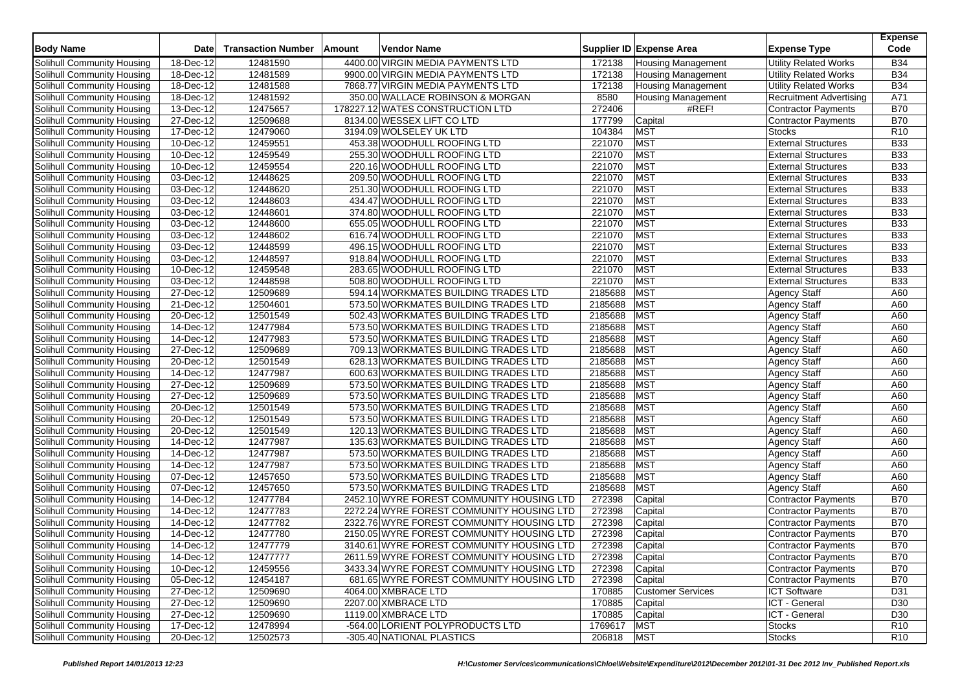| <b>Body Name</b>                  | <b>Date</b>             | <b>Transaction Number</b> | Amount | Vendor Name                               |                   | Supplier ID Expense Area  | <b>Expense Type</b>            | <b>Expense</b><br>Code |
|-----------------------------------|-------------------------|---------------------------|--------|-------------------------------------------|-------------------|---------------------------|--------------------------------|------------------------|
| Solihull Community Housing        | 18-Dec-12               | 12481590                  |        | 4400.00 VIRGIN MEDIA PAYMENTS LTD         | 172138            | <b>Housing Management</b> | <b>Utility Related Works</b>   | <b>B34</b>             |
| Solihull Community Housing        | 18-Dec-12               | 12481589                  |        | 9900.00 VIRGIN MEDIA PAYMENTS LTD         | 172138            | <b>Housing Management</b> | <b>Utility Related Works</b>   | <b>B34</b>             |
| Solihull Community Housing        | 18-Dec-12               | 12481588                  |        | 7868.77 VIRGIN MEDIA PAYMENTS LTD         | 172138            | <b>Housing Management</b> | <b>Utility Related Works</b>   | <b>B34</b>             |
| Solihull Community Housing        | $\overline{18}$ -Dec-12 | 12481592                  |        | 350.00 WALLACE ROBINSON & MORGAN          | 8580              | <b>Housing Management</b> | <b>Recruitment Advertising</b> | A71                    |
| Solihull Community Housing        | 13-Dec-12               | 12475657                  |        | 178227.12 WATES CONSTRUCTION LTD          | 272406            | #REF!                     | <b>Contractor Payments</b>     | <b>B70</b>             |
| Solihull Community Housing        | 27-Dec-12               | 12509688                  |        | 8134.00 WESSEX LIFT CO LTD                | 177799            | Capital                   | Contractor Payments            | <b>B70</b>             |
| Solihull Community Housing        | $\overline{17}$ -Dec-12 | 12479060                  |        | 3194.09 WOLSELEY UK LTD                   | 104384            | <b>MST</b>                | <b>Stocks</b>                  | R <sub>10</sub>        |
| Solihull Community Housing        | 10-Dec-12               | 12459551                  |        | 453.38 WOODHULL ROOFING LTD               | 221070            | <b>MST</b>                | <b>External Structures</b>     | <b>B33</b>             |
| Solihull Community Housing        | 10-Dec-12               | 12459549                  |        | 255.30 WOODHULL ROOFING LTD               | 221070            | <b>MST</b>                | <b>External Structures</b>     | <b>B33</b>             |
| Solihull Community Housing        | $\overline{10}$ -Dec-12 | 12459554                  |        | 220.16 WOODHULL ROOFING LTD               | 221070            | <b>MST</b>                | <b>External Structures</b>     | <b>B33</b>             |
| Solihull Community Housing        | 03-Dec-12               | 12448625                  |        | 209.50 WOODHULL ROOFING LTD               | 221070            | <b>MST</b>                | <b>External Structures</b>     | <b>B33</b>             |
| Solihull Community Housing        | $03$ -Dec-12            | 12448620                  |        | 251.30 WOODHULL ROOFING LTD               | 221070            | <b>MST</b>                | <b>External Structures</b>     | <b>B33</b>             |
| Solihull Community Housing        | 03-Dec-12               | 12448603                  |        | 434.47 WOODHULL ROOFING LTD               | 221070            | <b>MST</b>                | <b>External Structures</b>     | <b>B33</b>             |
| Solihull Community Housing        | $\overline{03}$ -Dec-12 | 12448601                  |        | 374.80 WOODHULL ROOFING LTD               | 221070            | <b>MST</b>                | <b>External Structures</b>     | <b>B33</b>             |
| Solihull Community Housing        | 03-Dec-12               | 12448600                  |        | 655.05 WOODHULL ROOFING LTD               | 221070            | <b>MST</b>                | <b>External Structures</b>     | <b>B33</b>             |
| Solihull Community Housing        | 03-Dec-12               | 12448602                  |        | 616.74 WOODHULL ROOFING LTD               | 221070            | <b>MST</b>                | <b>External Structures</b>     | <b>B33</b>             |
| Solihull Community Housing        | $\overline{03}$ -Dec-12 | 12448599                  |        | 496.15 WOODHULL ROOFING LTD               | 221070            | <b>MST</b>                | <b>External Structures</b>     | <b>B33</b>             |
| Solihull Community Housing        | 03-Dec-12               | 12448597                  |        | 918.84 WOODHULL ROOFING LTD               | 221070            | <b>MST</b>                | <b>External Structures</b>     | <b>B33</b>             |
| Solihull Community Housing        | 10-Dec-12               | 12459548                  |        | 283.65 WOODHULL ROOFING LTD               | 221070            | <b>MST</b>                | <b>External Structures</b>     | <b>B33</b>             |
| Solihull Community Housing        | 03-Dec-12               | 12448598                  |        | 508.80 WOODHULL ROOFING LTD               | 221070            | <b>MST</b>                | <b>External Structures</b>     | <b>B33</b>             |
| Solihull Community Housing        | 27-Dec-12               | 12509689                  |        | 594.14 WORKMATES BUILDING TRADES LTD      | 2185688           | <b>MST</b>                | <b>Agency Staff</b>            | A60                    |
| Solihull Community Housing        | 21-Dec-12               | 12504601                  |        | 573.50 WORKMATES BUILDING TRADES LTD      | 2185688           | <b>MST</b>                | <b>Agency Staff</b>            | A60                    |
| Solihull Community Housing        | 20-Dec-12               | 12501549                  |        | 502.43 WORKMATES BUILDING TRADES LTD      | 2185688           | <b>MST</b>                | <b>Agency Staff</b>            | A60                    |
| Solihull Community Housing        | 14-Dec-12               | 12477984                  |        | 573.50 WORKMATES BUILDING TRADES LTD      | 2185688           | <b>MST</b>                | <b>Agency Staff</b>            | A60                    |
| Solihull Community Housing        | 14-Dec-12               | 12477983                  |        | 573.50 WORKMATES BUILDING TRADES LTD      | 2185688           | <b>MST</b>                | <b>Agency Staff</b>            | A60                    |
| Solihull Community Housing        | 27-Dec-12               | 12509689                  |        | 709.13 WORKMATES BUILDING TRADES LTD      | 2185688           | <b>MST</b>                | <b>Agency Staff</b>            | A60                    |
| Solihull Community Housing        | 20-Dec-12               | 12501549                  |        | 628.13 WORKMATES BUILDING TRADES LTD      | 2185688           | <b>MST</b>                | <b>Agency Staff</b>            | A60                    |
| Solihull Community Housing        | 14-Dec-12               | 12477987                  |        | 600.63 WORKMATES BUILDING TRADES LTD      | 2185688           | <b>MST</b>                | <b>Agency Staff</b>            | A60                    |
| Solihull Community Housing        | 27-Dec-12               | 12509689                  |        | 573.50 WORKMATES BUILDING TRADES LTD      | 2185688           | <b>MST</b>                | <b>Agency Staff</b>            | A60                    |
| Solihull Community Housing        | 27-Dec-12               | 12509689                  |        | 573.50 WORKMATES BUILDING TRADES LTD      | 2185688           | <b>MST</b>                | <b>Agency Staff</b>            | A60                    |
| Solihull Community Housing        | 20-Dec-12               | 12501549                  |        | 573.50 WORKMATES BUILDING TRADES LTD      | 2185688           | <b>MST</b>                | <b>Agency Staff</b>            | A60                    |
| Solihull Community Housing        | 20-Dec-12               | 12501549                  |        | 573.50 WORKMATES BUILDING TRADES LTD      | 2185688           | <b>MST</b>                | <b>Agency Staff</b>            | A60                    |
| Solihull Community Housing        | $\overline{20}$ -Dec-12 | 12501549                  |        | 120.13 WORKMATES BUILDING TRADES LTD      | 2185688           | <b>MST</b>                | <b>Agency Staff</b>            | A60                    |
| Solihull Community Housing        | 14-Dec-12               | 12477987                  |        | 135.63 WORKMATES BUILDING TRADES LTD      | 2185688           | <b>MST</b>                | <b>Agency Staff</b>            | A60                    |
| Solihull Community Housing        | 14-Dec-12               | 12477987                  |        | 573.50 WORKMATES BUILDING TRADES LTD      | 2185688           | <b>MST</b>                | <b>Agency Staff</b>            | A60                    |
| Solihull Community Housing        | 14-Dec-12               | 12477987                  |        | 573.50 WORKMATES BUILDING TRADES LTD      | 2185688           | <b>MST</b>                | <b>Agency Staff</b>            | A60                    |
| Solihull Community Housing        | 07-Dec-12               | 12457650                  |        | 573.50 WORKMATES BUILDING TRADES LTD      | 2185688           | <b>MST</b>                | <b>Agency Staff</b>            | A60                    |
| Solihull Community Housing        | 07-Dec-12               | 12457650                  |        | 573.50 WORKMATES BUILDING TRADES LTD      | 2185688           | <b>MST</b>                | <b>Agency Staff</b>            | A60                    |
| Solihull Community Housing        | 14-Dec-12               | 12477784                  |        | 2452.10 WYRE FOREST COMMUNITY HOUSING LTD | 272398            | Capital                   | Contractor Payments            | <b>B70</b>             |
| Solihull Community Housing        | 14-Dec-12               | 12477783                  |        | 2272.24 WYRE FOREST COMMUNITY HOUSING LTD | 272398            | Capital                   | <b>Contractor Payments</b>     | <b>B70</b>             |
| Solihull Community Housing        | 14-Dec-12               | 12477782                  |        | 2322.76 WYRE FOREST COMMUNITY HOUSING LTD | 272398            | Capital                   | <b>Contractor Payments</b>     | <b>B70</b>             |
| Solihull Community Housing        | 14-Dec-12               | 12477780                  |        | 2150.05 WYRE FOREST COMMUNITY HOUSING LTD | 272398            | Capital                   | Contractor Payments            | <b>B70</b>             |
| Solihull Community Housing        | 14-Dec-12               | 12477779                  |        | 3140.61 WYRE FOREST COMMUNITY HOUSING LTD | 272398            | Capital                   | <b>Contractor Payments</b>     | <b>B70</b>             |
| Solihull Community Housing        | 14-Dec-12               | 12477777                  |        | 2611.59 WYRE FOREST COMMUNITY HOUSING LTD | 272398            | Capital                   | Contractor Payments            | <b>B70</b>             |
| Solihull Community Housing        | $10 - Dec-12$           | 12459556                  |        | 3433.34 WYRE FOREST COMMUNITY HOUSING LTD | 272398            | Capital                   | Contractor Payments            | <b>B70</b>             |
| Solihull Community Housing        | 05-Dec-12               | 12454187                  |        | 681.65 WYRE FOREST COMMUNITY HOUSING LTD  | 272398            | Capital                   | Contractor Payments            | <b>B70</b>             |
| Solihull Community Housing        | 27-Dec-12               | 12509690                  |        | 4064.00 XMBRACE LTD                       | 170885            | <b>Customer Services</b>  | <b>ICT Software</b>            | D31                    |
| Solihull Community Housing        | 27-Dec-12               | 12509690                  |        | 2207.00 XMBRACE LTD                       | 170885            | Capital                   | ICT - General                  | D30                    |
| Solihull Community Housing        | 27-Dec-12               | 12509690                  |        | 1119.00 XMBRACE LTD                       |                   |                           | ICT - General                  | D <sub>30</sub>        |
| <b>Solihull Community Housing</b> | 17-Dec-12               | 12478994                  |        | -564.00 LORIENT POLYPRODUCTS LTD          | 170885<br>1769617 | Capital<br><b>MST</b>     | <b>Stocks</b>                  | R <sub>10</sub>        |
| Solihull Community Housing        | 20-Dec-12               | 12502573                  |        | -305.40 NATIONAL PLASTICS                 | 206818            | <b>MST</b>                | <b>Stocks</b>                  | R <sub>10</sub>        |
|                                   |                         |                           |        |                                           |                   |                           |                                |                        |